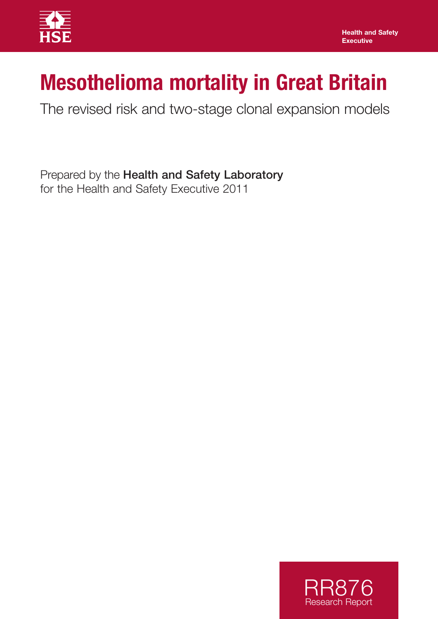

# **Mesothelioma mortality in Great Britain**

The revised risk and two-stage clonal expansion models

Prepared by the Health and Safety Laboratory for the Health and Safety Executive 2011

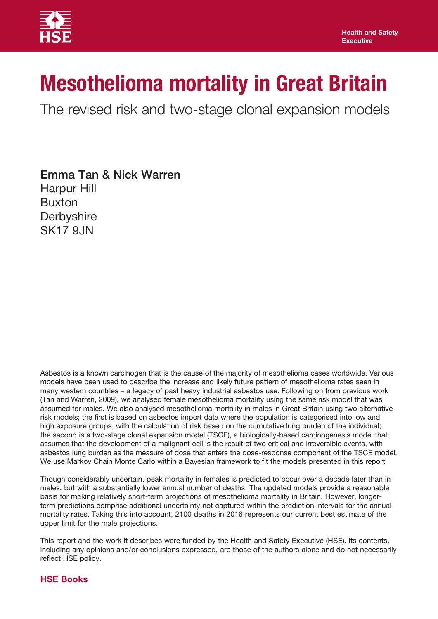

# **Mesothelioma mortality in Great Britain**

The revised risk and two-stage clonal expansion models

Emma Tan & Nick Warren Harpur Hill Buxton **Derbyshire SK17 9JN** 

 Asbestos is a known carcinogen that is the cause of the majority of mesothelioma cases worldwide. Various (Tan and Warren, 2009), we analysed female mesothelioma mortality using the same risk model that was assumed for males. We also analysed mesothelioma mortality in males in Great Britain using two alternative high exposure groups, with the calculation of risk based on the cumulative lung burden of the individual; assumes that the development of a malignant cell is the result of two critical and irreversible events, with models have been used to describe the increase and likely future pattern of mesothelioma rates seen in many western countries – a legacy of past heavy industrial asbestos use. Following on from previous work risk models; the first is based on asbestos import data where the population is categorised into low and the second is a two-stage clonal expansion model (TSCE), a biologically-based carcinogenesis model that asbestos lung burden as the measure of dose that enters the dose-response component of the TSCE model. We use Markov Chain Monte Carlo within a Bayesian framework to fit the models presented in this report.

Though considerably uncertain, peak mortality in females is predicted to occur over a decade later than in males, but with a substantially lower annual number of deaths. The updated models provide a reasonable basis for making relatively short-term projections of mesothelioma mortality in Britain. However, longerterm predictions comprise additional uncertainty not captured within the prediction intervals for the annual mortality rates. Taking this into account, 2100 deaths in 2016 represents our current best estimate of the upper limit for the male projections.

This report and the work it describes were funded by the Health and Safety Executive (HSE). Its contents, including any opinions and/or conclusions expressed, are those of the authors alone and do not necessarily reflect HSE policy.

# **HSE Books**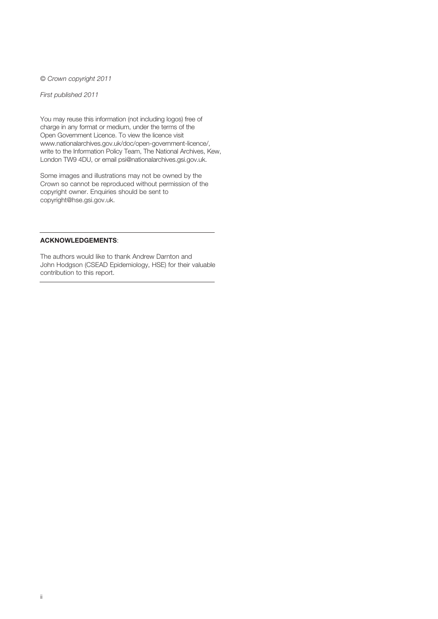© *Crown copyright 2011* 

*First published 2011* 

 charge in any format or medium, under the terms of the Open Government Licence. To view the licence visit write to the Information Policy Team, The National Archives, Kew, You may reuse this information (not including logos) free of www.nationalarchives.gov.uk/doc/open-government-licence/, London TW9 4DU, or email psi@nationalarchives.gsi.gov.uk.

Some images and illustrations may not be owned by the Crown so cannot be reproduced without permission of the copyright owner. Enquiries should be sent to copyright@hse.gsi.gov.uk.

#### **ACKNOWLEDGEMENTS**:

The authors would like to thank Andrew Darnton and John Hodgson (CSEAD Epidemiology, HSE) for their valuable contribution to this report.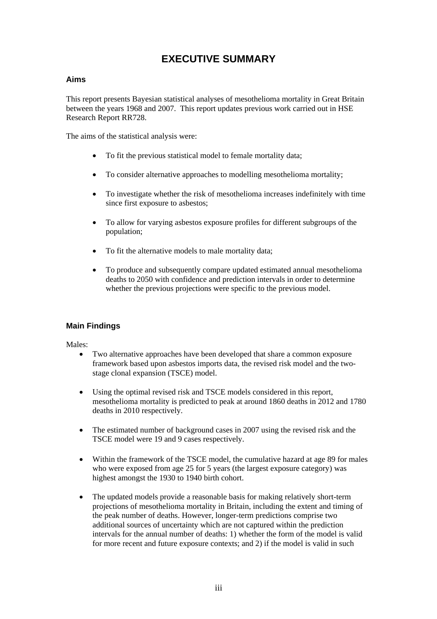# **EXECUTIVE SUMMARY**

## **Aims**

This report presents Bayesian statistical analyses of mesothelioma mortality in Great Britain between the years 1968 and 2007. This report updates previous work carried out in HSE Research Report RR728.

The aims of the statistical analysis were:

- To fit the previous statistical model to female mortality data;
- To consider alternative approaches to modelling mesothelioma mortality;
- To investigate whether the risk of mesothelioma increases indefinitely with time since first exposure to asbestos;
- To allow for varying asbestos exposure profiles for different subgroups of the population;
- To fit the alternative models to male mortality data;
- To produce and subsequently compare updated estimated annual mesothelioma deaths to 2050 with confidence and prediction intervals in order to determine whether the previous projections were specific to the previous model.

# **Main Findings**

Males:

- Two alternative approaches have been developed that share a common exposure framework based upon asbestos imports data, the revised risk model and the twostage clonal expansion (TSCE) model.
- Using the optimal revised risk and TSCE models considered in this report, mesothelioma mortality is predicted to peak at around 1860 deaths in 2012 and 1780 deaths in 2010 respectively.
- The estimated number of background cases in 2007 using the revised risk and the TSCE model were 19 and 9 cases respectively.
- Within the framework of the TSCE model, the cumulative hazard at age 89 for males who were exposed from age 25 for 5 years (the largest exposure category) was highest amongst the 1930 to 1940 birth cohort.
- The updated models provide a reasonable basis for making relatively short-term projections of mesothelioma mortality in Britain, including the extent and timing of the peak number of deaths. However, longer-term predictions comprise two additional sources of uncertainty which are not captured within the prediction intervals for the annual number of deaths: 1) whether the form of the model is valid for more recent and future exposure contexts; and 2) if the model is valid in such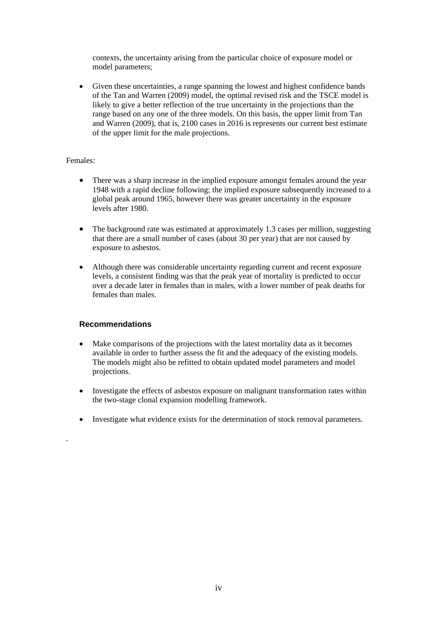contexts, the uncertainty arising from the particular choice of exposure model or model parameters;

• Given these uncertainties, a range spanning the lowest and highest confidence bands of the Tan and Warren (2009) model, the optimal revised risk and the TSCE model is likely to give a better reflection of the true uncertainty in the projections than the range based on any one of the three models. On this basis, the upper limit from Tan and Warren (2009), that is, 2100 cases in 2016 is represents our current best estimate of the upper limit for the male projections.

## Females:

.

- There was a sharp increase in the implied exposure amongst females around the year 1948 with a rapid decline following; the implied exposure subsequently increased to a global peak around 1965, however there was greater uncertainty in the exposure levels after 1980.
- The background rate was estimated at approximately 1.3 cases per million, suggesting that there are a small number of cases (about 30 per year) that are not caused by exposure to asbestos.
- Although there was considerable uncertainty regarding current and recent exposure levels, a consistent finding was that the peak year of mortality is predicted to occur over a decade later in females than in males, with a lower number of peak deaths for females than males.

# **Recommendations**

- Make comparisons of the projections with the latest mortality data as it becomes available in order to further assess the fit and the adequacy of the existing models. The models might also be refitted to obtain updated model parameters and model projections.
- Investigate the effects of asbestos exposure on malignant transformation rates within the two-stage clonal expansion modelling framework.
- Investigate what evidence exists for the determination of stock removal parameters.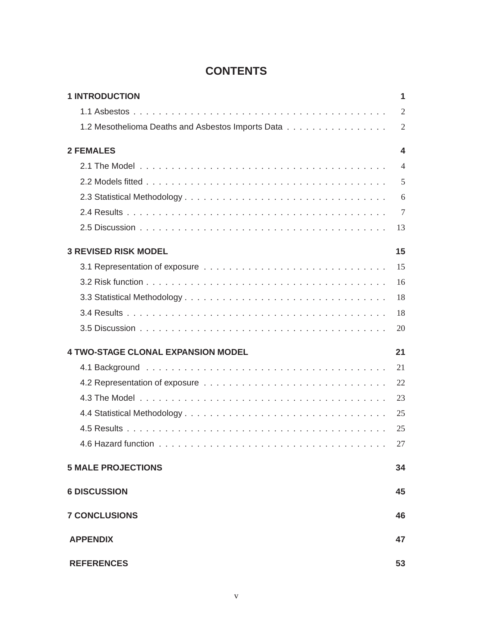# **CONTENTS**

| <b>1 INTRODUCTION</b>                             | 1              |
|---------------------------------------------------|----------------|
|                                                   | $\overline{2}$ |
| 1.2 Mesothelioma Deaths and Asbestos Imports Data | $\overline{2}$ |
| <b>2 FEMALES</b>                                  | 4              |
|                                                   | $\overline{4}$ |
|                                                   | 5              |
|                                                   | 6              |
|                                                   | $\overline{7}$ |
|                                                   | 13             |
| <b>3 REVISED RISK MODEL</b>                       | 15             |
|                                                   | 15             |
|                                                   | 16             |
|                                                   | 18             |
|                                                   | 18             |
|                                                   | 20             |
| <b>4 TWO-STAGE CLONAL EXPANSION MODEL</b>         | 21             |
|                                                   | 21             |
|                                                   | 22             |
|                                                   | 23             |
|                                                   | 25             |
|                                                   | 25             |
|                                                   | 27             |
| <b>5 MALE PROJECTIONS</b>                         | 34             |
| <b>6 DISCUSSION</b>                               | 45             |
| <b>7 CONCLUSIONS</b>                              | 46             |
| <b>APPENDIX</b>                                   | 47             |
| <b>REFERENCES</b>                                 | 53             |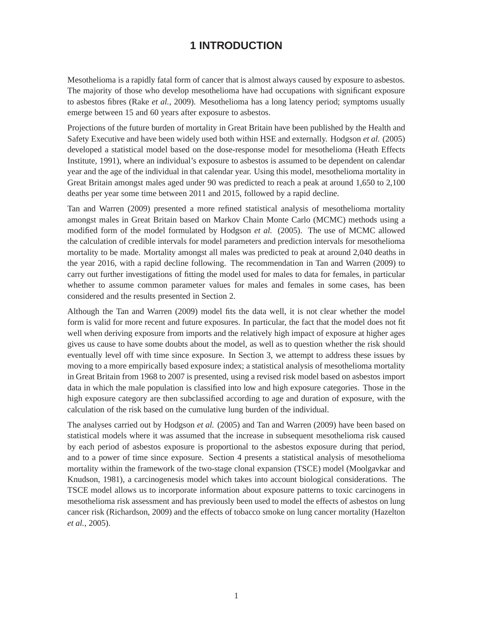# **1 INTRODUCTION**

<span id="page-7-0"></span>Mesothelioma is a rapidly fatal form of cancer that is almost always caused by exposure to asbestos. The majority of those who develop mesothelioma have had occupations with significant exposure to asbestos fibres (Rake *et al.*, 2009). Mesothelioma has a long latency period; symptoms usually emerge between 15 and 60 years after exposure to asbestos.

Projections of the future burden of mortality in Great Britain have been published by the Health and Safety Executive and have been widely used both within HSE and externally. Hodgson *et al.* (2005) developed a statistical model based on the dose-response model for mesothelioma (Heath Effects Institute, 1991), where an individual's exposure to asbestos is assumed to be dependent on calendar year and the age of the individual in that calendar year. Using this model, mesothelioma mortality in Great Britain amongst males aged under 90 was predicted to reach a peak at around 1,650 to 2,100 deaths per year some time between 2011 and 2015, followed by a rapid decline.

Tan and Warren (2009) presented a more refined statistical analysis of mesothelioma mortality amongst males in Great Britain based on Markov Chain Monte Carlo (MCMC) methods using a modified form of the model formulated by Hodgson *et al.* (2005). The use of MCMC allowed the calculation of credible intervals for model parameters and prediction intervals for mesothelioma mortality to be made. Mortality amongst all males was predicted to peak at around 2,040 deaths in the year 2016, with a rapid decline following. The recommendation in Tan and Warren (2009) to carry out further investigations of fitting the model used for males to data for females, in particular whether to assume common parameter values for males and females in some cases, has been considered and the results presented in Section 2.

Although the Tan and Warren (2009) model fits the data well, it is not clear whether the model form is valid for more recent and future exposures. In particular, the fact that the model does not fit well when deriving exposure from imports and the relatively high impact of exposure at higher ages gives us cause to have some doubts about the model, as well as to question whether the risk should eventually level off with time since exposure. In Section 3, we attempt to address these issues by moving to a more empirically based exposure index; a statistical analysis of mesothelioma mortality in Great Britain from 1968 to 2007 is presented, using a revised risk model based on asbestos import data in which the male population is classified into low and high exposure categories. Those in the high exposure category are then subclassified according to age and duration of exposure, with the calculation of the risk based on the cumulative lung burden of the individual.

The analyses carried out by Hodgson *et al.* (2005) and Tan and Warren (2009) have been based on statistical models where it was assumed that the increase in subsequent mesothelioma risk caused by each period of asbestos exposure is proportional to the asbestos exposure during that period, and to a power of time since exposure. Section 4 presents a statistical analysis of mesothelioma mortality within the framework of the two-stage clonal expansion (TSCE) model (Moolgavkar and Knudson, 1981), a carcinogenesis model which takes into account biological considerations. The TSCE model allows us to incorporate information about exposure patterns to toxic carcinogens in mesothelioma risk assessment and has previously been used to model the effects of asbestos on lung cancer risk (Richardson, 2009) and the effects of tobacco smoke on lung cancer mortality (Hazelton *et al.*, 2005).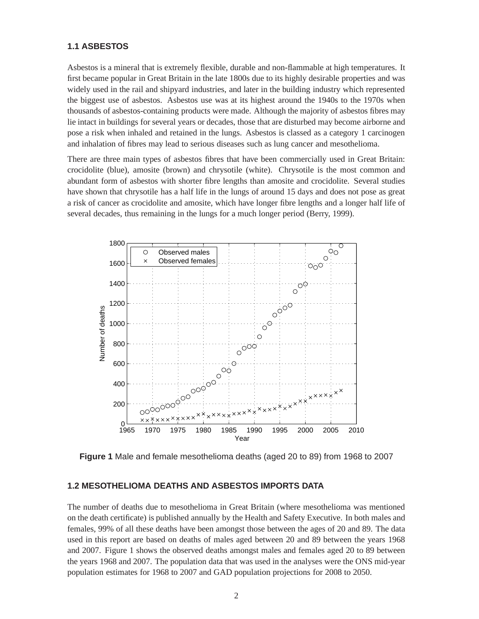#### <span id="page-8-0"></span>**1.1 ASBESTOS**

Asbestos is a mineral that is extremely flexible, durable and non-flammable at high temperatures. It first became popular in Great Britain in the late 1800s due to its highly desirable properties and was widely used in the rail and shipyard industries, and later in the building industry which represented the biggest use of asbestos. Asbestos use was at its highest around the 1940s to the 1970s when thousands of asbestos-containing products were made. Although the majority of asbestos fibres may lie intact in buildings for several years or decades, those that are disturbed may become airborne and pose a risk when inhaled and retained in the lungs. Asbestos is classed as a category 1 carcinogen and inhalation of fibres may lead to serious diseases such as lung cancer and mesothelioma.

There are three main types of asbestos fibres that have been commercially used in Great Britain: crocidolite (blue), amosite (brown) and chrysotile (white). Chrysotile is the most common and abundant form of asbestos with shorter fibre lengths than amosite and crocidolite. Several studies have shown that chrysotile has a half life in the lungs of around 15 days and does not pose as great a risk of cancer as crocidolite and amosite, which have longer fibre lengths and a longer half life of several decades, thus remaining in the lungs for a much longer period (Berry, 1999).



**Figure 1** Male and female mesothelioma deaths (aged 20 to 89) from 1968 to 2007

#### **1.2 MESOTHELIOMA DEATHS AND ASBESTOS IMPORTS DATA**

The number of deaths due to mesothelioma in Great Britain (where mesothelioma was mentioned on the death certificate) is published annually by the Health and Safety Executive. In both males and females, 99% of all these deaths have been amongst those between the ages of 20 and 89. The data used in this report are based on deaths of males aged between 20 and 89 between the years 1968 and 2007. Figure 1 shows the observed deaths amongst males and females aged 20 to 89 between the years 1968 and 2007. The population data that was used in the analyses were the ONS mid-year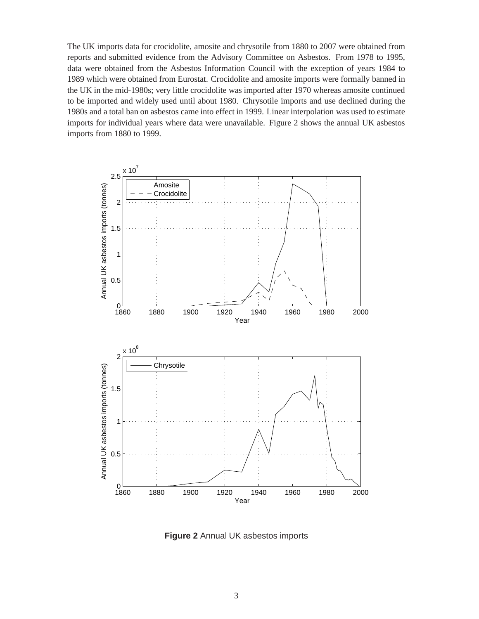The UK imports data for crocidolite, amosite and chrysotile from 1880 to 2007 were obtained from reports and submitted evidence from the Advisory Committee on Asbestos. From 1978 to 1995, data were obtained from the Asbestos Information Council with the exception of years 1984 to 1989 which were obtained from Eurostat. Crocidolite and amosite imports were formally banned in the UK in the mid-1980s; very little crocidolite was imported after 1970 whereas amosite continued to be imported and widely used until about 1980. Chrysotile imports and use declined during the 1980s and a total ban on asbestos came into effect in 1999. Linear interpolation was used to estimate imports for individual years where data were unavailable. Figure 2 shows the annual UK asbestos imports from 1880 to 1999.



**Figure 2** Annual UK asbestos imports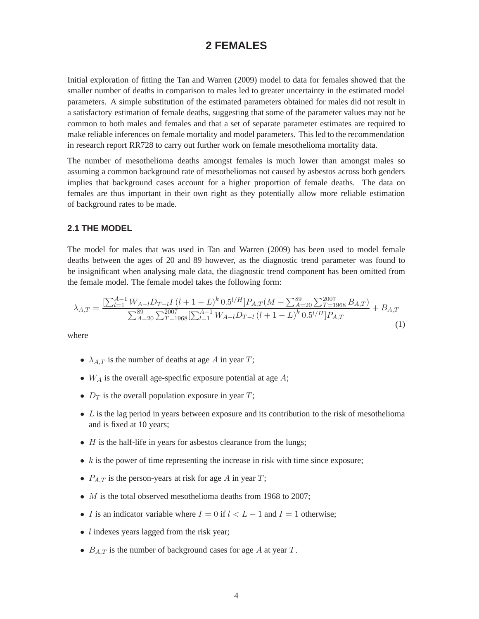# **2 FEMALES**

<span id="page-10-0"></span>Initial exploration of fitting the Tan and Warren (2009) model to data for females showed that the smaller number of deaths in comparison to males led to greater uncertainty in the estimated model parameters. A simple substitution of the estimated parameters obtained for males did not result in a satisfactory estimation of female deaths, suggesting that some of the parameter values may not be common to both males and females and that a set of separate parameter estimates are required to make reliable inferences on female mortality and model parameters. This led to the recommendation in research report RR728 to carry out further work on female mesothelioma mortality data.

The number of mesothelioma deaths amongst females is much lower than amongst males so assuming a common background rate of mesotheliomas not caused by asbestos across both genders implies that background cases account for a higher proportion of female deaths. The data on females are thus important in their own right as they potentially allow more reliable estimation of background rates to be made.

#### **2.1 THE MODEL**

The model for males that was used in Tan and Warren (2009) has been used to model female deaths between the ages of 20 and 89 however, as the diagnostic trend parameter was found to be insignificant when analysing male data, the diagnostic trend component has been omitted from the female model. The female model takes the following form:

$$
\lambda_{A,T} = \frac{\left[\sum_{l=1}^{A-1} W_{A-l} D_{T-l} I \left(l+1-L\right)^{k} 0.5^{l/H}\right] P_{A,T} (M - \sum_{A=20}^{89} \sum_{T=1968}^{2007} B_{A,T})}{\sum_{A=20}^{89} \sum_{T=1968}^{2007} \left[\sum_{l=1}^{A-1} W_{A-l} D_{T-l} \left(l+1-L\right)^{k} 0.5^{l/H}\right] P_{A,T}} + B_{A,T}
$$
\n(1)

where

- $\lambda_{A,T}$  is the number of deaths at age A in year T;
- $W_A$  is the overall age-specific exposure potential at age  $A$ ;
- $D_T$  is the overall population exposure in year  $T$ ;
- $\bullet$  L is the lag period in years between exposure and its contribution to the risk of mesothelioma and is fixed at 10 years;
- $\bullet$  *H* is the half-life in years for asbestos clearance from the lungs;
- $k$  is the power of time representing the increase in risk with time since exposure;
- $P_{A,T}$  is the person-years at risk for age A in year T;
- *M* is the total observed mesothelioma deaths from 1968 to 2007;
- I is an indicator variable where  $I = 0$  if  $l < L 1$  and  $I = 1$  otherwise;
- $\bullet$  *l* indexes years lagged from the risk year;
- $B_{A,T}$  is the number of background cases for age A at year T.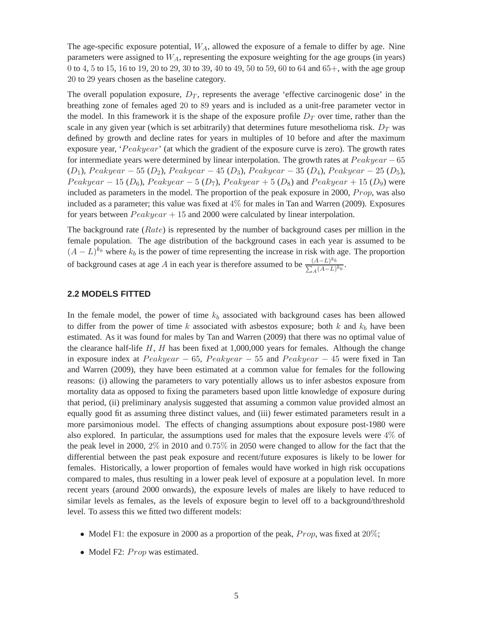<span id="page-11-0"></span>The age-specific exposure potential,  $W_A$ , allowed the exposure of a female to differ by age. Nine parameters were assigned to  $W_A$ , representing the exposure weighting for the age groups (in years) 0 to 4, 5 to 15, 16 to 19, 20 to 29, 30 to 39, 40 to 49, 50 to 59, 60 to 64 and 65+, with the age group 20 to 29 years chosen as the baseline category.

The overall population exposure,  $D_T$ , represents the average 'effective carcinogenic dose' in the breathing zone of females aged 20 to 89 years and is included as a unit-free parameter vector in the model. In this framework it is the shape of the exposure profile  $D<sub>T</sub>$  over time, rather than the scale in any given year (which is set arbitrarily) that determines future mesothelioma risk.  $D_T$  was defined by growth and decline rates for years in multiples of 10 before and after the maximum exposure year, 'Peakyear' (at which the gradient of the exposure curve is zero). The growth rates for intermediate years were determined by linear interpolation. The growth rates at  $Peakyear - 65$  $(D_1)$ , Peakyear − 55  $(D_2)$ , Peakyear − 45  $(D_3)$ , Peakyear − 35  $(D_4)$ , Peakyear − 25  $(D_5)$ ,  $Peakyear - 15 (D<sub>6</sub>), Peakyear - 5 (D<sub>7</sub>), Peakyear + 5 (D<sub>8</sub>)$  and  $Peakyear + 15 (D<sub>9</sub>)$  were included as parameters in the model. The proportion of the peak exposure in 2000,  $Prop$ , was also included as a parameter; this value was fixed at  $4\%$  for males in Tan and Warren (2009). Exposures for years between  $Peakyear + 15$  and 2000 were calculated by linear interpolation.

The background rate  $(Rate)$  is represented by the number of background cases per million in the female population. The age distribution of the background cases in each year is assumed to be  $(A - L)^{k_b}$  where  $k_b$  is the power of time representing the increase in risk with age. The proportion of background cases at age A in each year is therefore assumed to be  $\frac{(A-L)^{k_b}}{\sum_A (A-L)^{k_b}}$ .

#### **2.2 MODELS FITTED**

In the female model, the power of time  $k_b$  associated with background cases has been allowed to differ from the power of time k associated with asbestos exposure; both k and  $k_b$  have been estimated. As it was found for males by Tan and Warren (2009) that there was no optimal value of the clearance half-life  $H$ ,  $H$  has been fixed at 1,000,000 years for females. Although the change in exposure index at  $Peakyear - 65$ ,  $Peakyear - 55$  and  $Peakyear - 45$  were fixed in Tan and Warren (2009), they have been estimated at a common value for females for the following reasons: (i) allowing the parameters to vary potentially allows us to infer asbestos exposure from mortality data as opposed to fixing the parameters based upon little knowledge of exposure during that period, (ii) preliminary analysis suggested that assuming a common value provided almost an equally good fit as assuming three distinct values, and (iii) fewer estimated parameters result in a more parsimonious model. The effects of changing assumptions about exposure post-1980 were also explored. In particular, the assumptions used for males that the exposure levels were  $4\%$  of the peak level in 2000, 2% in 2010 and 0.75% in 2050 were changed to allow for the fact that the differential between the past peak exposure and recent/future exposures is likely to be lower for females. Historically, a lower proportion of females would have worked in high risk occupations compared to males, thus resulting in a lower peak level of exposure at a population level. In more recent years (around 2000 onwards), the exposure levels of males are likely to have reduced to similar levels as females, as the levels of exposure begin to level off to a background/threshold level. To assess this we fitted two different models:

- Model F1: the exposure in 2000 as a proportion of the peak,  $Prop$ , was fixed at  $20\%$ ;
- Model F2:  $Prop$  was estimated.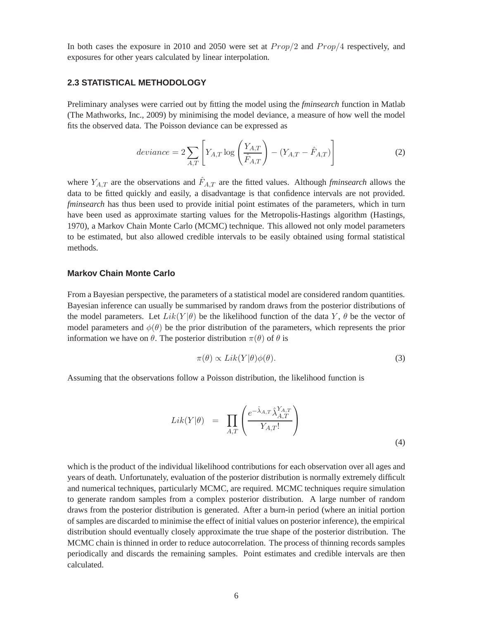<span id="page-12-0"></span>In both cases the exposure in 2010 and 2050 were set at  $Prop/2$  and  $Prop/4$  respectively, and exposures for other years calculated by linear interpolation.

#### **2.3 STATISTICAL METHODOLOGY**

Preliminary analyses were carried out by fitting the model using the *fminsearch* function in Matlab (The Mathworks, Inc., 2009) by minimising the model deviance, a measure of how well the model fits the observed data. The Poisson deviance can be expressed as

$$
deviance = 2\sum_{A,T} \left[ Y_{A,T} \log \left( \frac{Y_{A,T}}{\hat{F}_{A,T}} \right) - (Y_{A,T} - \hat{F}_{A,T}) \right]
$$
(2)

where  $Y_{A,T}$  are the observations and  $\hat{F}_{A,T}$  are the fitted values. Although *fminsearch* allows the data to be fitted quickly and easily, a disadvantage is that confidence intervals are not provided. *fminsearch* has thus been used to provide initial point estimates of the parameters, which in turn have been used as approximate starting values for the Metropolis-Hastings algorithm (Hastings, 1970), a Markov Chain Monte Carlo (MCMC) technique. This allowed not only model parameters to be estimated, but also allowed credible intervals to be easily obtained using formal statistical methods.

#### **Markov Chain Monte Carlo**

From a Bayesian perspective, the parameters of a statistical model are considered random quantities. Bayesian inference can usually be summarised by random draws from the posterior distributions of the model parameters. Let  $Lik(Y|\theta)$  be the likelihood function of the data Y,  $\theta$  be the vector of model parameters and  $\phi(\theta)$  be the prior distribution of the parameters, which represents the prior information we have on  $\theta$ . The posterior distribution  $\pi(\theta)$  of  $\theta$  is

$$
\pi(\theta) \propto \text{Lik}(Y|\theta)\phi(\theta). \tag{3}
$$

Assuming that the observations follow a Poisson distribution, the likelihood function is

$$
Lik(Y|\theta) = \prod_{A,T} \left( \frac{e^{-\hat{\lambda}_{A,T} \hat{\lambda}_{A,T}^{Y_{A,T}}}}{Y_{A,T}!} \right)
$$
\n(4)

which is the product of the individual likelihood contributions for each observation over all ages and years of death. Unfortunately, evaluation of the posterior distribution is normally extremely difficult and numerical techniques, particularly MCMC, are required. MCMC techniques require simulation to generate random samples from a complex posterior distribution. A large number of random draws from the posterior distribution is generated. After a burn-in period (where an initial portion of samples are discarded to minimise the effect of initial values on posterior inference), the empirical distribution should eventually closely approximate the true shape of the posterior distribution. The MCMC chain is thinned in order to reduce autocorrelation. The process of thinning records samples periodically and discards the remaining samples. Point estimates and credible intervals are then calculated.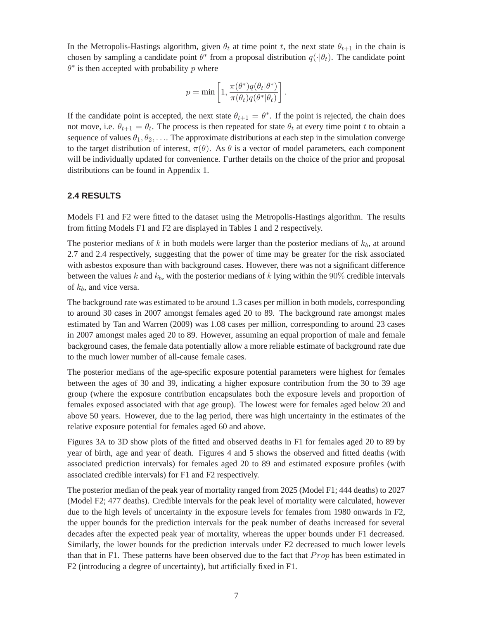<span id="page-13-0"></span>In the Metropolis-Hastings algorithm, given  $\theta_t$  at time point t, the next state  $\theta_{t+1}$  in the chain is chosen by sampling a candidate point  $\theta^*$  from a proposal distribution  $q(\cdot|\theta_t)$ . The candidate point  $\theta^*$  is then accepted with probability p where

$$
p = \min \left[ 1, \frac{\pi(\theta^*)q(\theta_t|\theta^*)}{\pi(\theta_t)q(\theta^*|\theta_t)} \right].
$$

If the candidate point is accepted, the next state  $\theta_{t+1} = \theta^*$ . If the point is rejected, the chain does not move, i.e.  $\theta_{t+1} = \theta_t$ . The process is then repeated for state  $\theta_t$  at every time point t to obtain a sequence of values  $\theta_1, \theta_2, \ldots$  The approximate distributions at each step in the simulation converge to the target distribution of interest,  $\pi(\theta)$ . As  $\theta$  is a vector of model parameters, each component will be individually updated for convenience. Further details on the choice of the prior and proposal distributions can be found in Appendix 1.

#### **2.4 RESULTS**

Models F1 and F2 were fitted to the dataset using the Metropolis-Hastings algorithm. The results from fitting Models F1 and F2 are displayed in Tables 1 and 2 respectively.

The posterior medians of  $k$  in both models were larger than the posterior medians of  $k_b$ , at around 2.7 and 2.4 respectively, suggesting that the power of time may be greater for the risk associated with asbestos exposure than with background cases. However, there was not a significant difference between the values k and  $k_b$ , with the posterior medians of k lying within the 90% credible intervals of  $k_b$ , and vice versa.

The background rate was estimated to be around 1.3 cases per million in both models, corresponding to around 30 cases in 2007 amongst females aged 20 to 89. The background rate amongst males estimated by Tan and Warren (2009) was 1.08 cases per million, corresponding to around 23 cases in 2007 amongst males aged 20 to 89. However, assuming an equal proportion of male and female background cases, the female data potentially allow a more reliable estimate of background rate due to the much lower number of all-cause female cases.

The posterior medians of the age-specific exposure potential parameters were highest for females between the ages of 30 and 39, indicating a higher exposure contribution from the 30 to 39 age group (where the exposure contribution encapsulates both the exposure levels and proportion of females exposed associated with that age group). The lowest were for females aged below 20 and above 50 years. However, due to the lag period, there was high uncertainty in the estimates of the relative exposure potential for females aged 60 and above.

Figures 3A to 3D show plots of the fitted and observed deaths in F1 for females aged 20 to 89 by year of birth, age and year of death. Figures 4 and 5 shows the observed and fitted deaths (with associated prediction intervals) for females aged 20 to 89 and estimated exposure profiles (with associated credible intervals) for F1 and F2 respectively.

The posterior median of the peak year of mortality ranged from 2025 (Model F1; 444 deaths) to 2027 (Model F2; 477 deaths). Credible intervals for the peak level of mortality were calculated, however due to the high levels of uncertainty in the exposure levels for females from 1980 onwards in F2, the upper bounds for the prediction intervals for the peak number of deaths increased for several decades after the expected peak year of mortality, whereas the upper bounds under F1 decreased. Similarly, the lower bounds for the prediction intervals under F2 decreased to much lower levels than that in F1. These patterns have been observed due to the fact that  $Prop$  has been estimated in F2 (introducing a degree of uncertainty), but artificially fixed in F1.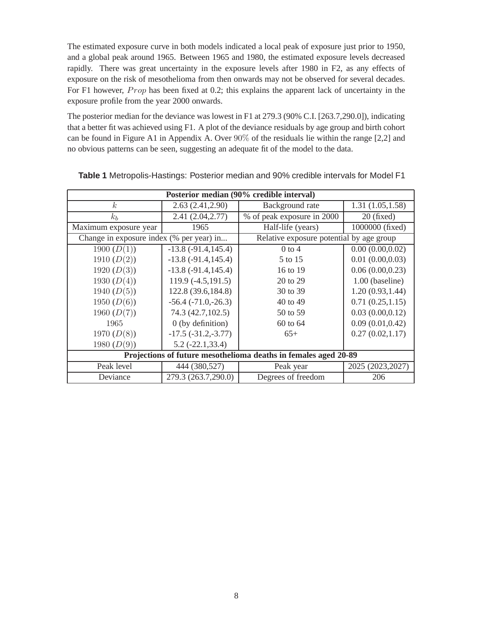The estimated exposure curve in both models indicated a local peak of exposure just prior to 1950, and a global peak around 1965. Between 1965 and 1980, the estimated exposure levels decreased rapidly. There was great uncertainty in the exposure levels after 1980 in F2, as any effects of exposure on the risk of mesothelioma from then onwards may not be observed for several decades. For F1 however,  $Prop$  has been fixed at 0.2; this explains the apparent lack of uncertainty in the exposure profile from the year 2000 onwards.

The posterior median for the deviance was lowest in F1 at 279.3 (90% C.I. [263.7,290.0]), indicating that a better fit was achieved using F1. A plot of the deviance residuals by age group and birth cohort can be found in Figure A1 in Appendix A. Over 90% of the residuals lie within the range [2,2] and no obvious patterns can be seen, suggesting an adequate fit of the model to the data.

| Posterior median (90% credible interval)                        |                               |                                          |                   |  |  |  |
|-----------------------------------------------------------------|-------------------------------|------------------------------------------|-------------------|--|--|--|
| $\boldsymbol{k}$<br>2.63(2.41, 2.90)                            |                               | Background rate                          | 1.31(1.05, 1.58)  |  |  |  |
| $k_b$                                                           | 2.41(2.04, 2.77)              | % of peak exposure in 2000               | $20$ (fixed)      |  |  |  |
| Maximum exposure year                                           | 1965                          | Half-life (years)                        | 1000000 (fixed)   |  |  |  |
| Change in exposure index (% per year) in                        |                               | Relative exposure potential by age group |                   |  |  |  |
| 1900 $(D(1))$                                                   | $-13.8(-91.4, 145.4)$         | $0$ to 4                                 | 0.00(0.00, 0.02)  |  |  |  |
| 1910 $(D(2))$                                                   | $-13.8$ $(-91.4, 145.4)$      | 5 to 15                                  | 0.01(0.00, 0.03)  |  |  |  |
| 1920 $(D(3))$                                                   | $-13.8$ ( $-91.4$ , $145.4$ ) | 16 to 19                                 | 0.06(0.00, 0.23)  |  |  |  |
| 1930 $(D(4))$                                                   | $119.9(-4.5, 191.5)$          | 20 to 29                                 | 1.00 (baseline)   |  |  |  |
| 1940 $(D(5))$                                                   | 122.8 (39.6, 184.8)           | 30 to 39                                 | 1.20(0.93, 1.44)  |  |  |  |
| 1950 $(D(6))$                                                   | $-56.4$ $(-71.0,-26.3)$       | 40 to 49                                 | 0.71(0.25, 1.15)  |  |  |  |
| 1960 $(D(7))$                                                   | 74.3 (42.7, 102.5)            | 50 to 59                                 | 0.03(0.00, 0.12)  |  |  |  |
| 1965                                                            | $0$ (by definition)           | 60 to 64                                 | 0.09(0.01, 0.42)  |  |  |  |
| 1970 $(D(8))$                                                   | $-17.5 (-31.2,-3.77)$         | $65+$                                    | 0.27(0.02, 1.17)  |  |  |  |
| 1980 $(D(9))$                                                   | $5.2$ ( $-22.1,33.4$ )        |                                          |                   |  |  |  |
| Projections of future mesothelioma deaths in females aged 20-89 |                               |                                          |                   |  |  |  |
| Peak level                                                      | 444 (380,527)                 | Peak year                                | 2025 (2023, 2027) |  |  |  |
| Deviance                                                        | 279.3 (263.7,290.0)           | Degrees of freedom                       | 206               |  |  |  |

**Table 1** Metropolis-Hastings: Posterior median and 90% credible intervals for Model F1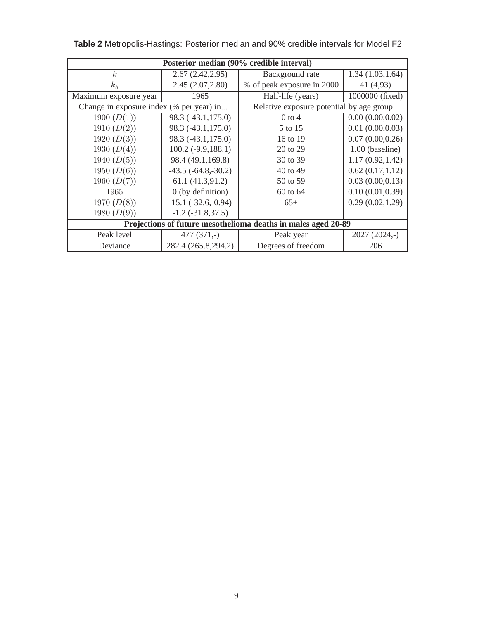| Posterior median (90% credible interval)                      |                         |                                          |                  |  |  |
|---------------------------------------------------------------|-------------------------|------------------------------------------|------------------|--|--|
| $\boldsymbol{k}$<br>2.67(2.42, 2.95)                          |                         | Background rate                          | 1.34(1.03, 1.64) |  |  |
| $k_b$                                                         | 2.45(2.07, 2.80)        | % of peak exposure in 2000               | 41 (4,93)        |  |  |
| Maximum exposure year                                         | 1965                    | Half-life (years)                        | 1000000 (fixed)  |  |  |
| Change in exposure index (% per year) in                      |                         | Relative exposure potential by age group |                  |  |  |
| 1900 $(D(1))$                                                 | 98.3 (-43.1,175.0)      | $0$ to 4                                 | 0.00(0.00, 0.02) |  |  |
| 1910 $(D(2))$                                                 | 98.3 (-43.1,175.0)      | 5 to 15                                  | 0.01(0.00, 0.03) |  |  |
| 1920 $(D(3))$                                                 | 98.3 (-43.1,175.0)      | 16 to 19                                 | 0.07(0.00, 0.26) |  |  |
| 1930 $(D(4))$                                                 | $100.2 (-9.9, 188.1)$   | 20 to 29                                 | 1.00 (baseline)  |  |  |
| 1940 $(D(5))$                                                 | 98.4 (49.1,169.8)       | 30 to 39                                 | 1.17(0.92, 1.42) |  |  |
| 1950 $(D(6))$                                                 | $-43.5$ $(-64.8,-30.2)$ | 40 to 49                                 | 0.62(0.17, 1.12) |  |  |
| 1960 $(D(7))$                                                 | 61.1 (41.3,91.2)        | 50 to 59                                 | 0.03(0.00, 0.13) |  |  |
| 1965                                                          | $0$ (by definition)     | 60 to 64                                 | 0.10(0.01, 0.39) |  |  |
| 1970 $(D(8))$                                                 | $-15.1$ $(-32.6,-0.94)$ | $65+$                                    | 0.29(0.02, 1.29) |  |  |
| 1980 $(D(9))$                                                 | $-1.2$ $(-31.8,37.5)$   |                                          |                  |  |  |
| Projections of future mesothelioma deaths in males aged 20-89 |                         |                                          |                  |  |  |
| Peak level                                                    | $477(371,-)$            | Peak year                                | $2027(2024,-)$   |  |  |
| Deviance                                                      | 282.4 (265.8,294.2)     | Degrees of freedom                       | 206              |  |  |

**Table 2** Metropolis-Hastings: Posterior median and 90% credible intervals for Model F2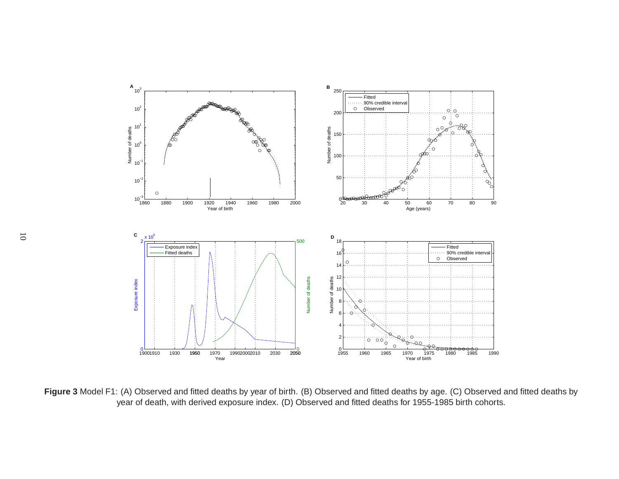<span id="page-16-0"></span>

**Figure 3** Model F1: (A) Observed and fitted deaths by year of birth. (B) Observed and fitted deaths by age. (C) Observed and fitted deaths by year of death, with derived exposure index. (D) Observed and fitted deaths for 1955-1985 birth cohorts.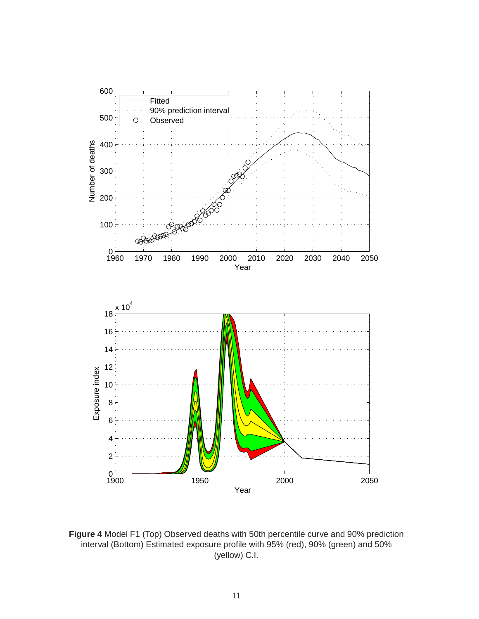

**Figure 4** Model F1 (Top) Observed deaths with 50th percentile curve and 90% prediction interval (Bottom) Estimated exposure profile with 95% (red), 90% (green) and 50% (yellow) C.I.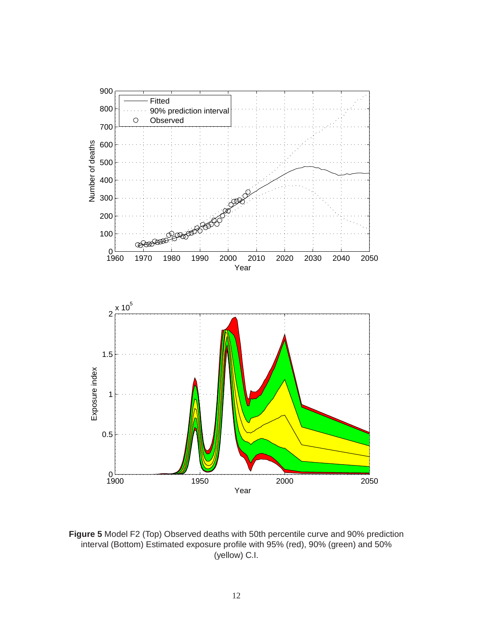

**Figure 5** Model F2 (Top) Observed deaths with 50th percentile curve and 90% prediction interval (Bottom) Estimated exposure profile with 95% (red), 90% (green) and 50% (yellow) C.I.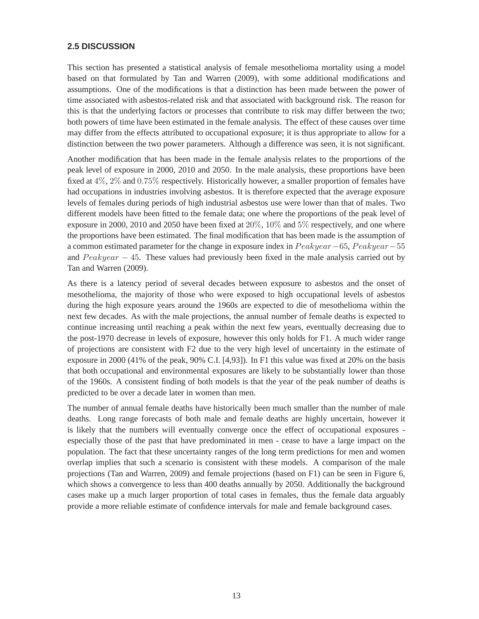#### <span id="page-19-0"></span>**2.5 DISCUSSION**

This section has presented a statistical analysis of female mesothelioma mortality using a model based on that formulated by Tan and Warren (2009), with some additional modifications and assumptions. One of the modifications is that a distinction has been made between the power of time associated with asbestos-related risk and that associated with background risk. The reason for this is that the underlying factors or processes that contribute to risk may differ between the two; both powers of time have been estimated in the female analysis. The effect of these causes over time may differ from the effects attributed to occupational exposure; it is thus appropriate to allow for a distinction between the two power parameters. Although a difference was seen, it is not significant.

Another modification that has been made in the female analysis relates to the proportions of the peak level of exposure in 2000, 2010 and 2050. In the male analysis, these proportions have been fixed at 4%, 2% and 0.75% respectively. Historically however, a smaller proportion of females have had occupations in industries involving asbestos. It is therefore expected that the average exposure levels of females during periods of high industrial asbestos use were lower than that of males. Two different models have been fitted to the female data; one where the proportions of the peak level of exposure in 2000, 2010 and 2050 have been fixed at  $20\%$ ,  $10\%$  and  $5\%$  respectively, and one where the proportions have been estimated. The final modification that has been made is the assumption of a common estimated parameter for the change in exposure index in  $Peakyear-65$ ,  $Peakyear-55$ and  $Peakyear - 45$ . These values had previously been fixed in the male analysis carried out by Tan and Warren (2009).

As there is a latency period of several decades between exposure to asbestos and the onset of mesothelioma, the majority of those who were exposed to high occupational levels of asbestos during the high exposure years around the 1960s are expected to die of mesothelioma within the next few decades. As with the male projections, the annual number of female deaths is expected to continue increasing until reaching a peak within the next few years, eventually decreasing due to the post-1970 decrease in levels of exposure, however this only holds for F1. A much wider range of projections are consistent with F2 due to the very high level of uncertainty in the estimate of exposure in 2000 (41% of the peak, 90% C.I. [4,93]). In F1 this value was fixed at 20% on the basis that both occupational and environmental exposures are likely to be substantially lower than those of the 1960s. A consistent finding of both models is that the year of the peak number of deaths is predicted to be over a decade later in women than men.

The number of annual female deaths have historically been much smaller than the number of male deaths. Long range forecasts of both male and female deaths are highly uncertain, however it is likely that the numbers will eventually converge once the effect of occupational exposures especially those of the past that have predominated in men - cease to have a large impact on the population. The fact that these uncertainty ranges of the long term predictions for men and women overlap implies that such a scenario is consistent with these models. A comparison of the male projections (Tan and Warren, 2009) and female projections (based on F1) can be seen in Figure 6, which shows a convergence to less than 400 deaths annually by 2050. Additionally the background cases make up a much larger proportion of total cases in females, thus the female data arguably provide a more reliable estimate of confidence intervals for male and female background cases.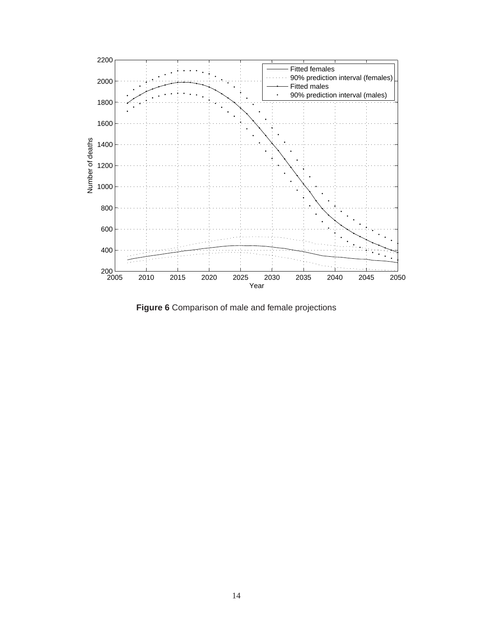<span id="page-20-0"></span>

**Figure 6** Comparison of male and female projections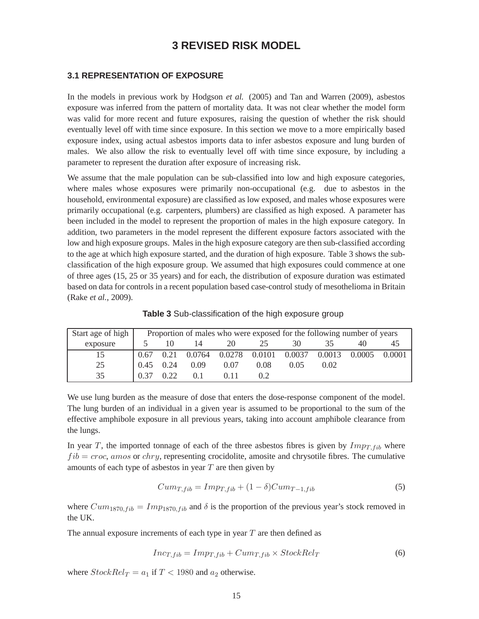# **3 REVISED RISK MODEL**

#### <span id="page-21-0"></span>**3.1 REPRESENTATION OF EXPOSURE**

In the models in previous work by Hodgson *et al.* (2005) and Tan and Warren (2009), asbestos exposure was inferred from the pattern of mortality data. It was not clear whether the model form was valid for more recent and future exposures, raising the question of whether the risk should eventually level off with time since exposure. In this section we move to a more empirically based exposure index, using actual asbestos imports data to infer asbestos exposure and lung burden of males. We also allow the risk to eventually level off with time since exposure, by including a parameter to represent the duration after exposure of increasing risk.

We assume that the male population can be sub-classified into low and high exposure categories, where males whose exposures were primarily non-occupational (e.g. due to asbestos in the household, environmental exposure) are classified as low exposed, and males whose exposures were primarily occupational (e.g. carpenters, plumbers) are classified as high exposed. A parameter has been included in the model to represent the proportion of males in the high exposure category. In addition, two parameters in the model represent the different exposure factors associated with the low and high exposure groups. Males in the high exposure category are then sub-classified according to the age at which high exposure started, and the duration of high exposure. Table 3 shows the subclassification of the high exposure group. We assumed that high exposures could commence at one of three ages (15, 25 or 35 years) and for each, the distribution of exposure duration was estimated based on data for controls in a recent population based case-control study of mesothelioma in Britain (Rake *et al.*, 2009).

| Start age of high Froportion of males who were exposed for the following number of years |  |  |    |       |         |     |
|------------------------------------------------------------------------------------------|--|--|----|-------|---------|-----|
| exposure $\frac{1}{5}$ 10 14 20                                                          |  |  | 25 | 30 35 | 40 - 40 | -45 |

25 0.45 0.24 0.09 0.07 0.08 0.05 0.02

35 0.37 0.22 0.1 0.11 0.2

| <b>Table 3</b> Sub-classification of the high exposure group |  |  |  |
|--------------------------------------------------------------|--|--|--|
|                                                              |  |  |  |

15 0.67 0.21 0.0764 0.0278 0.0101 0.0037 0.0013 0.0005 0.0001

| We use lung burden as the measure of dose that enters the dose-response component of the model.  |
|--------------------------------------------------------------------------------------------------|
| The lung burden of an individual in a given year is assumed to be proportional to the sum of the |
| effective amphibole exposure in all previous years, taking into account amphibole clearance from |
| the lungs.                                                                                       |

In year T, the imported tonnage of each of the three asbestos fibres is given by  $Imp_{T, fib}$  where  $fib = croc$ , amos or chry, representing crocidolite, amosite and chrysotile fibres. The cumulative amounts of each type of asbestos in year  $T$  are then given by

$$
Cum_{T,fib} = Imp_{T,fib} + (1 - \delta)Cum_{T-1,fib} \tag{5}
$$

where  $Cum_{1870, fib} = Imp_{1870, fib}$  and  $\delta$  is the proportion of the previous year's stock removed in the UK.

The annual exposure increments of each type in year  $T$  are then defined as

$$
Inc_{T, fib} = Imp_{T, fib} + Cum_{T, fib} \times StockRel_T
$$
 (6)

where  $StockRel_T = a_1$  if  $T < 1980$  and  $a_2$  otherwise.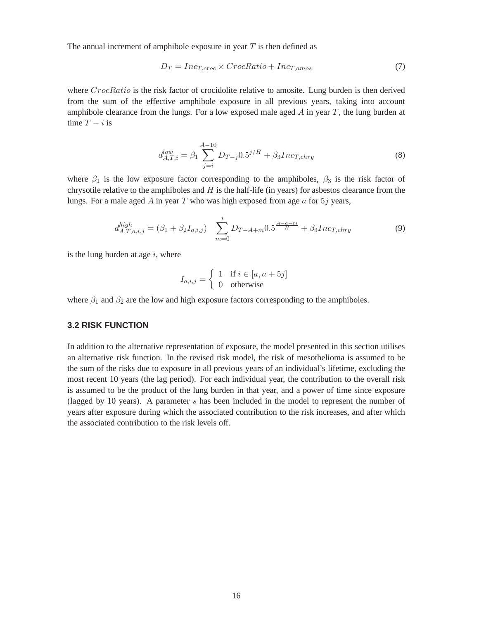<span id="page-22-0"></span>The annual increment of amphibole exposure in year  $T$  is then defined as

$$
D_T = Inc_{T, croc} \times CrocRatio + Inc_{T,amos}
$$
\n(7)

where CrocRatio is the risk factor of crocidolite relative to amosite. Lung burden is then derived from the sum of the effective amphibole exposure in all previous years, taking into account amphibole clearance from the lungs. For a low exposed male aged  $A$  in year  $T$ , the lung burden at time  $T - i$  is

$$
d_{A,T,i}^{low} = \beta_1 \sum_{j=i}^{A-10} D_{T-j} 0.5^{j/H} + \beta_3 Inc_{T,chry}
$$
 (8)

where  $\beta_1$  is the low exposure factor corresponding to the amphiboles,  $\beta_3$  is the risk factor of chrysotile relative to the amphiboles and  $H$  is the half-life (in years) for asbestos clearance from the lungs. For a male aged A in year T who was high exposed from age  $a$  for  $5j$  years,

$$
d_{A,T,a,i,j}^{high} = (\beta_1 + \beta_2 I_{a,i,j}) \sum_{m=0}^{i} D_{T-A+m} 0.5^{\frac{A-a-m}{H}} + \beta_3 Inc_{T,chry}
$$
(9)

is the lung burden at age  $i$ , where

$$
I_{a,i,j} = \begin{cases} 1 & \text{if } i \in [a, a+5j] \\ 0 & \text{otherwise} \end{cases}
$$

where  $\beta_1$  and  $\beta_2$  are the low and high exposure factors corresponding to the amphiboles.

#### **3.2 RISK FUNCTION**

In addition to the alternative representation of exposure, the model presented in this section utilises an alternative risk function. In the revised risk model, the risk of mesothelioma is assumed to be the sum of the risks due to exposure in all previous years of an individual's lifetime, excluding the most recent 10 years (the lag period). For each individual year, the contribution to the overall risk is assumed to be the product of the lung burden in that year, and a power of time since exposure (lagged by 10 years). A parameter s has been included in the model to represent the number of years after exposure during which the associated contribution to the risk increases, and after which the associated contribution to the risk levels off.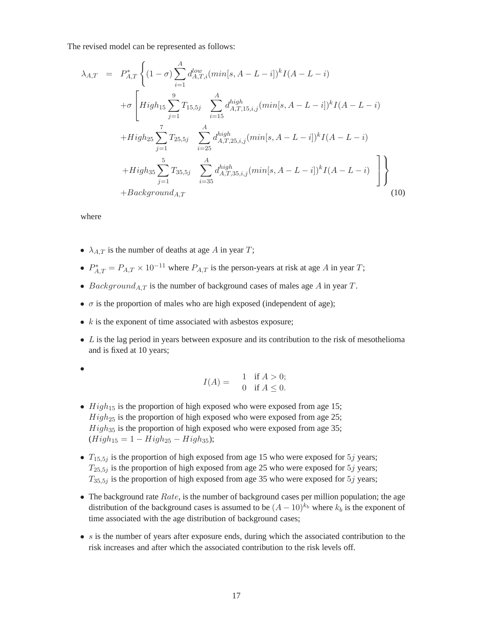The revised model can be represented as follows:

$$
\lambda_{A,T} = P_{A,T}^{*} \left\{ (1 - \sigma) \sum_{i=1}^{A} d_{A,T,i}^{low} (min[s, A - L - i])^{k} I(A - L - i) \right.\n+ \sigma \left[ High_{15} \sum_{j=1}^{9} T_{15,5j} \sum_{i=15}^{A} d_{A,T,15,i,j}^{high} (min[s, A - L - i])^{k} I(A - L - i) \right.\n+ High_{25} \sum_{j=1}^{7} T_{25,5j} \sum_{i=25}^{A} d_{A,T,25,i,j}^{high} (min[s, A - L - i])^{k} I(A - L - i) \right.\n+ High_{35} \sum_{j=1}^{5} T_{35,5j} \sum_{i=35}^{A} d_{A,T,35,i,j}^{high} (min[s, A - L - i])^{k} I(A - L - i) \right.\n+ BackgroundA,T (10)
$$

where

- $\lambda_{A,T}$  is the number of deaths at age A in year T;
- $P_{AT}^* = P_{A,T} \times 10^{-11}$  where  $P_{A,T}$  is the person-years at risk at age A in year T;
- Background<sub>A,T</sub> is the number of background cases of males age A in year T.
- $\sigma$  is the proportion of males who are high exposed (independent of age);
- $k$  is the exponent of time associated with asbestos exposure;
- $\bullet$  L is the lag period in years between exposure and its contribution to the risk of mesothelioma and is fixed at 10 years;

$$
\theta
$$

$$
I(A) = \begin{cases} 1 & \text{if } A > 0; \\ 0 & \text{if } A \le 0. \end{cases}
$$

- $High_{15}$  is the proportion of high exposed who were exposed from age 15;  $High_{25}$  is the proportion of high exposed who were exposed from age 25;  $High_{35}$  is the proportion of high exposed who were exposed from age 35;  $(High_{15} = 1 - High_{25} - High_{35});$
- $T_{15.5j}$  is the proportion of high exposed from age 15 who were exposed for 5j years;  $T_{25,5j}$  is the proportion of high exposed from age 25 who were exposed for  $5j$  years;  $T_{35,5j}$  is the proportion of high exposed from age 35 who were exposed for 5j years;
- The background rate  $Rate$ , is the number of background cases per million population; the age distribution of the background cases is assumed to be  $(A - 10)^{k_b}$  where  $k_b$  is the exponent of time associated with the age distribution of background cases;
- $\bullet$  s is the number of years after exposure ends, during which the associated contribution to the risk increases and after which the associated contribution to the risk levels off.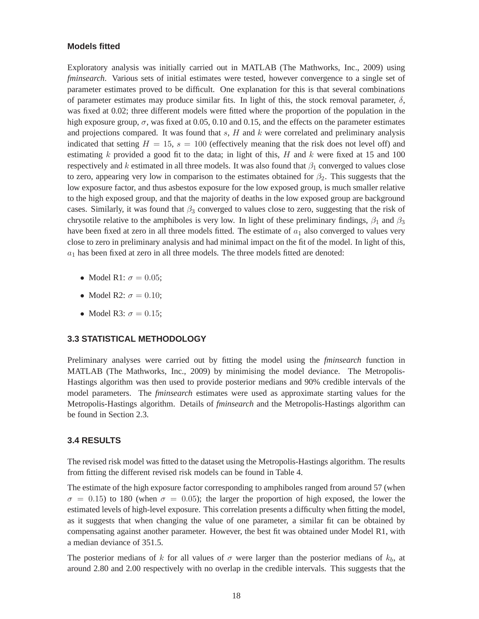#### <span id="page-24-0"></span>**Models fitted**

Exploratory analysis was initially carried out in MATLAB (The Mathworks, Inc., 2009) using *fminsearch*. Various sets of initial estimates were tested, however convergence to a single set of parameter estimates proved to be difficult. One explanation for this is that several combinations of parameter estimates may produce similar fits. In light of this, the stock removal parameter,  $\delta$ , was fixed at 0.02; three different models were fitted where the proportion of the population in the high exposure group,  $\sigma$ , was fixed at 0.05, 0.10 and 0.15, and the effects on the parameter estimates and projections compared. It was found that  $s$ ,  $H$  and  $k$  were correlated and preliminary analysis indicated that setting  $H = 15$ ,  $s = 100$  (effectively meaning that the risk does not level off) and estimating k provided a good fit to the data; in light of this, H and k were fixed at 15 and 100 respectively and k estimated in all three models. It was also found that  $\beta_1$  converged to values close to zero, appearing very low in comparison to the estimates obtained for  $\beta_2$ . This suggests that the low exposure factor, and thus asbestos exposure for the low exposed group, is much smaller relative to the high exposed group, and that the majority of deaths in the low exposed group are background cases. Similarly, it was found that  $\beta_3$  converged to values close to zero, suggesting that the risk of chrysotile relative to the amphiboles is very low. In light of these preliminary findings,  $\beta_1$  and  $\beta_3$ have been fixed at zero in all three models fitted. The estimate of  $a_1$  also converged to values very close to zero in preliminary analysis and had minimal impact on the fit of the model. In light of this,  $a_1$  has been fixed at zero in all three models. The three models fitted are denoted:

- Model R1:  $\sigma = 0.05$ ;
- Model R2:  $\sigma = 0.10$ :
- Model R3:  $\sigma = 0.15$ ;

#### **3.3 STATISTICAL METHODOLOGY**

Preliminary analyses were carried out by fitting the model using the *fminsearch* function in MATLAB (The Mathworks, Inc., 2009) by minimising the model deviance. The Metropolis-Hastings algorithm was then used to provide posterior medians and 90% credible intervals of the model parameters. The *fminsearch* estimates were used as approximate starting values for the Metropolis-Hastings algorithm. Details of *fminsearch* and the Metropolis-Hastings algorithm can be found in Section 2.3.

#### **3.4 RESULTS**

The revised risk model was fitted to the dataset using the Metropolis-Hastings algorithm. The results from fitting the different revised risk models can be found in Table 4.

The estimate of the high exposure factor corresponding to amphiboles ranged from around 57 (when  $\sigma = 0.15$ ) to 180 (when  $\sigma = 0.05$ ); the larger the proportion of high exposed, the lower the estimated levels of high-level exposure. This correlation presents a difficulty when fitting the model, as it suggests that when changing the value of one parameter, a similar fit can be obtained by compensating against another parameter. However, the best fit was obtained under Model R1, with a median deviance of 351.5.

The posterior medians of k for all values of  $\sigma$  were larger than the posterior medians of  $k_b$ , at around 2.80 and 2.00 respectively with no overlap in the credible intervals. This suggests that the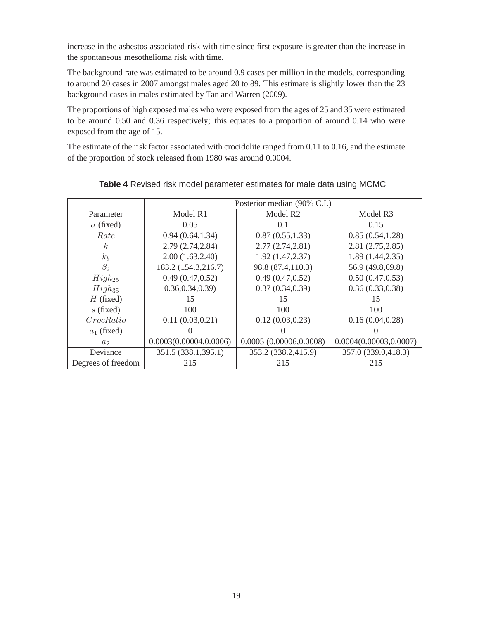increase in the asbestos-associated risk with time since first exposure is greater than the increase in the spontaneous mesothelioma risk with time.

The background rate was estimated to be around 0.9 cases per million in the models, corresponding to around 20 cases in 2007 amongst males aged 20 to 89. This estimate is slightly lower than the 23 background cases in males estimated by Tan and Warren (2009).

The proportions of high exposed males who were exposed from the ages of 25 and 35 were estimated to be around 0.50 and 0.36 respectively; this equates to a proportion of around 0.14 who were exposed from the age of 15.

The estimate of the risk factor associated with crocidolite ranged from 0.11 to 0.16, and the estimate of the proportion of stock released from 1980 was around 0.0004.

|                    | Posterior median (90% C.I.) |                         |                         |  |
|--------------------|-----------------------------|-------------------------|-------------------------|--|
| Parameter          | Model R1                    | Model R <sub>2</sub>    | Model R3                |  |
| $\sigma$ (fixed)   | 0.05                        | 0.1                     | 0.15                    |  |
| Rate               | 0.94(0.64, 1.34)            | 0.87(0.55, 1.33)        | 0.85(0.54, 1.28)        |  |
| k <sub>i</sub>     | 2.79 (2.74,2.84)            | 2.77(2.74, 2.81)        | 2.81(2.75, 2.85)        |  |
| $k_b$              | 2.00(1.63, 2.40)            | 1.92(1.47, 2.37)        | 1.89(1.44, 2.35)        |  |
| $\beta_2$          | 183.2 (154.3,216.7)         | 98.8 (87.4,110.3)       | 56.9 (49.8,69.8)        |  |
| $High_{25}$        | 0.49(0.47, 0.52)            | 0.49(0.47, 0.52)        | 0.50(0.47, 0.53)        |  |
| $High_{35}$        | 0.36, 0.34, 0.39            | 0.37(0.34, 0.39)        | 0.36(0.33,0.38)         |  |
| $H$ (fixed)        | 15                          | 15                      | 15                      |  |
| $s$ (fixed)        | 100                         | 100                     | 100                     |  |
| CrocRatio          | 0.11(0.03, 0.21)            | 0.12(0.03, 0.23)        | 0.16(0.04, 0.28)        |  |
| $a_1$ (fixed)      |                             |                         |                         |  |
| a <sub>2</sub>     | 0.0003(0.00004, 0.0006)     | 0.0005(0.00006, 0.0008) | 0.0004(0.00003, 0.0007) |  |
| Deviance           | 351.5 (338.1,395.1)         | 353.2 (338.2,415.9)     | 357.0 (339.0,418.3)     |  |
| Degrees of freedom | 215                         | 215                     | 215                     |  |

## **Table 4** Revised risk model parameter estimates for male data using MCMC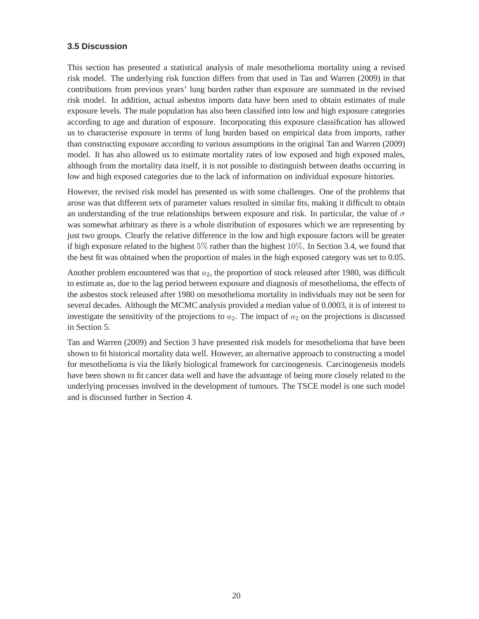#### <span id="page-26-0"></span>**3.5 Discussion**

This section has presented a statistical analysis of male mesothelioma mortality using a revised risk model. The underlying risk function differs from that used in Tan and Warren (2009) in that contributions from previous years' lung burden rather than exposure are summated in the revised risk model. In addition, actual asbestos imports data have been used to obtain estimates of male exposure levels. The male population has also been classified into low and high exposure categories according to age and duration of exposure. Incorporating this exposure classification has allowed us to characterise exposure in terms of lung burden based on empirical data from imports, rather than constructing exposure according to various assumptions in the original Tan and Warren (2009) model. It has also allowed us to estimate mortality rates of low exposed and high exposed males, although from the mortality data itself, it is not possible to distinguish between deaths occurring in low and high exposed categories due to the lack of information on individual exposure histories.

However, the revised risk model has presented us with some challenges. One of the problems that arose was that different sets of parameter values resulted in similar fits, making it difficult to obtain an understanding of the true relationships between exposure and risk. In particular, the value of  $\sigma$ was somewhat arbitrary as there is a whole distribution of exposures which we are representing by just two groups. Clearly the relative difference in the low and high exposure factors will be greater if high exposure related to the highest  $5\%$  rather than the highest 10%. In Section 3.4, we found that the best fit was obtained when the proportion of males in the high exposed category was set to 0.05.

Another problem encountered was that  $a_2$ , the proportion of stock released after 1980, was difficult to estimate as, due to the lag period between exposure and diagnosis of mesothelioma, the effects of the asbestos stock released after 1980 on mesothelioma mortality in individuals may not be seen for several decades. Although the MCMC analysis provided a median value of 0.0003, it is of interest to investigate the sensitivity of the projections to  $a_2$ . The impact of  $a_2$  on the projections is discussed in Section 5.

Tan and Warren (2009) and Section 3 have presented risk models for mesothelioma that have been shown to fit historical mortality data well. However, an alternative approach to constructing a model for mesothelioma is via the likely biological framework for carcinogenesis. Carcinogenesis models have been shown to fit cancer data well and have the advantage of being more closely related to the underlying processes involved in the development of tumours. The TSCE model is one such model and is discussed further in Section 4.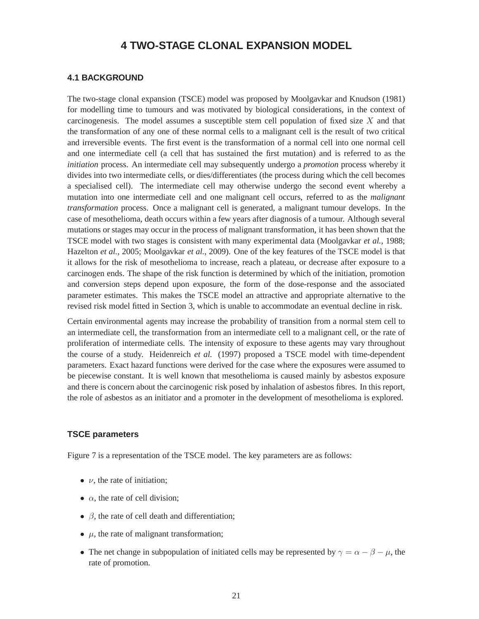# **4 TWO-STAGE CLONAL EXPANSION MODEL**

#### <span id="page-27-0"></span>**4.1 BACKGROUND**

The two-stage clonal expansion (TSCE) model was proposed by Moolgavkar and Knudson (1981) for modelling time to tumours and was motivated by biological considerations, in the context of carcinogenesis. The model assumes a susceptible stem cell population of fixed size  $X$  and that the transformation of any one of these normal cells to a malignant cell is the result of two critical and irreversible events. The first event is the transformation of a normal cell into one normal cell and one intermediate cell (a cell that has sustained the first mutation) and is referred to as the *initiation* process. An intermediate cell may subsequently undergo a *promotion* process whereby it divides into two intermediate cells, or dies/differentiates (the process during which the cell becomes a specialised cell). The intermediate cell may otherwise undergo the second event whereby a mutation into one intermediate cell and one malignant cell occurs, referred to as the *malignant transformation* process. Once a malignant cell is generated, a malignant tumour develops. In the case of mesothelioma, death occurs within a few years after diagnosis of a tumour. Although several mutations or stages may occur in the process of malignant transformation, it has been shown that the TSCE model with two stages is consistent with many experimental data (Moolgavkar *et al.*, 1988; Hazelton *et al.*, 2005; Moolgavkar *et al.*, 2009). One of the key features of the TSCE model is that it allows for the risk of mesothelioma to increase, reach a plateau, or decrease after exposure to a carcinogen ends. The shape of the risk function is determined by which of the initiation, promotion and conversion steps depend upon exposure, the form of the dose-response and the associated parameter estimates. This makes the TSCE model an attractive and appropriate alternative to the revised risk model fitted in Section 3, which is unable to accommodate an eventual decline in risk.

Certain environmental agents may increase the probability of transition from a normal stem cell to an intermediate cell, the transformation from an intermediate cell to a malignant cell, or the rate of proliferation of intermediate cells. The intensity of exposure to these agents may vary throughout the course of a study. Heidenreich *et al.* (1997) proposed a TSCE model with time-dependent parameters. Exact hazard functions were derived for the case where the exposures were assumed to be piecewise constant. It is well known that mesothelioma is caused mainly by asbestos exposure and there is concern about the carcinogenic risk posed by inhalation of asbestos fibres. In this report, the role of asbestos as an initiator and a promoter in the development of mesothelioma is explored.

#### **TSCE parameters**

Figure 7 is a representation of the TSCE model. The key parameters are as follows:

- $\nu$ , the rate of initiation;
- $\alpha$ , the rate of cell division;
- $\beta$ , the rate of cell death and differentiation;
- $\mu$ , the rate of malignant transformation;
- The net change in subpopulation of initiated cells may be represented by  $\gamma = \alpha \beta \mu$ , the rate of promotion.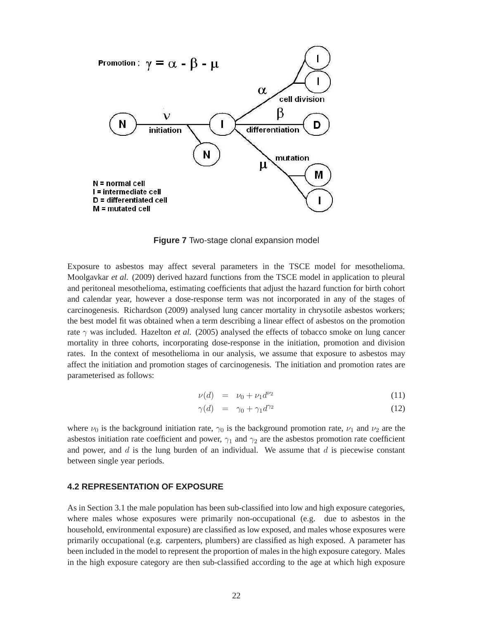<span id="page-28-0"></span>

**Figure 7** Two-stage clonal expansion model

Exposure to asbestos may affect several parameters in the TSCE model for mesothelioma. Moolgavkar *et al.* (2009) derived hazard functions from the TSCE model in application to pleural and peritoneal mesothelioma, estimating coefficients that adjust the hazard function for birth cohort and calendar year, however a dose-response term was not incorporated in any of the stages of carcinogenesis. Richardson (2009) analysed lung cancer mortality in chrysotile asbestos workers; the best model fit was obtained when a term describing a linear effect of asbestos on the promotion rate  $\gamma$  was included. Hazelton *et al.* (2005) analysed the effects of tobacco smoke on lung cancer mortality in three cohorts, incorporating dose-response in the initiation, promotion and division rates. In the context of mesothelioma in our analysis, we assume that exposure to asbestos may affect the initiation and promotion stages of carcinogenesis. The initiation and promotion rates are parameterised as follows:

$$
\nu(d) = \nu_0 + \nu_1 d^{\nu_2} \tag{11}
$$

$$
\gamma(d) = \gamma_0 + \gamma_1 d^{\gamma_2} \tag{12}
$$

where  $\nu_0$  is the background initiation rate,  $\gamma_0$  is the background promotion rate,  $\nu_1$  and  $\nu_2$  are the asbestos initiation rate coefficient and power,  $\gamma_1$  and  $\gamma_2$  are the asbestos promotion rate coefficient and power, and  $d$  is the lung burden of an individual. We assume that  $d$  is piecewise constant between single year periods.

#### **4.2 REPRESENTATION OF EXPOSURE**

As in Section 3.1 the male population has been sub-classified into low and high exposure categories, where males whose exposures were primarily non-occupational (e.g. due to asbestos in the household, environmental exposure) are classified as low exposed, and males whose exposures were primarily occupational (e.g. carpenters, plumbers) are classified as high exposed. A parameter has been included in the model to represent the proportion of males in the high exposure category. Males in the high exposure category are then sub-classified according to the age at which high exposure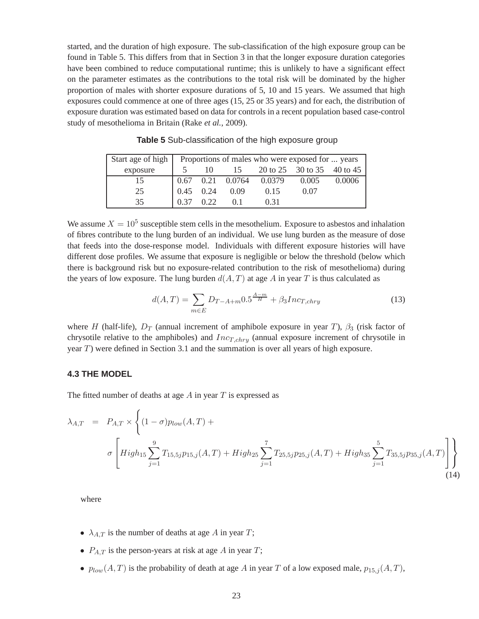started, and the duration of high exposure. The sub-classification of the high exposure group can be found in Table 5. This differs from that in Section 3 in that the longer exposure duration categories have been combined to reduce computational runtime; this is unlikely to have a significant effect on the parameter estimates as the contributions to the total risk will be dominated by the higher proportion of males with shorter exposure durations of 5, 10 and 15 years. We assumed that high exposures could commence at one of three ages (15, 25 or 35 years) and for each, the distribution of exposure duration was estimated based on data for controls in a recent population based case-control study of mesothelioma in Britain (Rake *et al.*, 2009).

| Start age of high |             |      |                    |      | Proportions of males who were exposed for  years |        |
|-------------------|-------------|------|--------------------|------|--------------------------------------------------|--------|
| exposure          |             | 10   |                    |      | 15 20 to 25 30 to 35 40 to 45                    |        |
| 15                | 0.67        |      | 0.21 0.0764 0.0379 |      | 0.005                                            | 0.0006 |
| 25                | $0.45$ 0.24 |      | 0.09               | 0.15 | 0.07                                             |        |
| 35                | 0.37        | 0.22 | $\Omega$ 1         | 0.31 |                                                  |        |

**Table 5** Sub-classification of the high exposure group

We assume  $X = 10^5$  susceptible stem cells in the mesothelium. Exposure to asbestos and inhalation of fibres contribute to the lung burden of an individual. We use lung burden as the measure of dose that feeds into the dose-response model. Individuals with different exposure histories will have different dose profiles. We assume that exposure is negligible or below the threshold (below which there is background risk but no exposure-related contribution to the risk of mesothelioma) during the years of low exposure. The lung burden  $d(A, T)$  at age A in year T is thus calculated as

$$
d(A,T) = \sum_{m \in E} D_{T-A+m} 0.5^{\frac{A-m}{H}} + \beta_3 Inc_{T,chry}
$$
\n(13)

where H (half-life),  $D_T$  (annual increment of amphibole exposure in year T),  $\beta_3$  (risk factor of chrysotile relative to the amphiboles) and  $Inc_{T,chry}$  (annual exposure increment of chrysotile in year T) were defined in Section 3.1 and the summation is over all years of high exposure.

#### **4.3 THE MODEL**

The fitted number of deaths at age  $A$  in year  $T$  is expressed as

$$
\lambda_{A,T} = P_{A,T} \times \left\{ (1 - \sigma) p_{low}(A,T) + \sigma \left[ High_{15} \sum_{j=1}^{9} T_{15,5j} p_{15,j}(A,T) + High_{25} \sum_{j=1}^{7} T_{25,5j} p_{25,j}(A,T) + High_{35} \sum_{j=1}^{5} T_{35,5j} p_{35,j}(A,T) \right] \right\}
$$
\n(14)

where

- $\lambda_{A,T}$  is the number of deaths at age A in year T;
- $P_{A,T}$  is the person-years at risk at age A in year T;
- $p_{low}(A, T)$  is the probability of death at age A in year T of a low exposed male,  $p_{15,j}(A, T)$ ,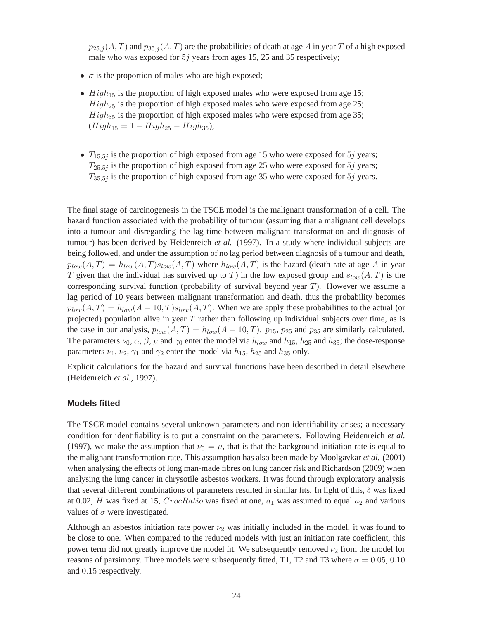$p_{25,j}(A, T)$  and  $p_{35,j}(A, T)$  are the probabilities of death at age A in year T of a high exposed male who was exposed for 5j years from ages 15, 25 and 35 respectively;

- $\sigma$  is the proportion of males who are high exposed;
- $High<sub>15</sub>$  is the proportion of high exposed males who were exposed from age 15;  $High_{25}$  is the proportion of high exposed males who were exposed from age 25;  $High_{35}$  is the proportion of high exposed males who were exposed from age 35;  $(High_{15} = 1 - High_{25} - High_{35});$
- $T_{15,5j}$  is the proportion of high exposed from age 15 who were exposed for 5*j* years;  $T_{25.5j}$  is the proportion of high exposed from age 25 who were exposed for 5j years;  $T_{35,5j}$  is the proportion of high exposed from age 35 who were exposed for  $5j$  years.

The final stage of carcinogenesis in the TSCE model is the malignant transformation of a cell. The hazard function associated with the probability of tumour (assuming that a malignant cell develops into a tumour and disregarding the lag time between malignant transformation and diagnosis of tumour) has been derived by Heidenreich *et al.* (1997). In a study where individual subjects are being followed, and under the assumption of no lag period between diagnosis of a tumour and death,  $p_{low}(A, T) = h_{low}(A, T) s_{low}(A, T)$  where  $h_{low}(A, T)$  is the hazard (death rate at age A in year T given that the individual has survived up to T) in the low exposed group and  $s_{low}(A, T)$  is the corresponding survival function (probability of survival beyond year  $T$ ). However we assume a lag period of 10 years between malignant transformation and death, thus the probability becomes  $p_{low}(A, T) = h_{low}(A - 10, T)s_{low}(A, T)$ . When we are apply these probabilities to the actual (or projected) population alive in year  $T$  rather than following up individual subjects over time, as is the case in our analysis,  $p_{low}(A, T) = h_{low}(A - 10, T)$ .  $p_{15}$ ,  $p_{25}$  and  $p_{35}$  are similarly calculated. The parameters  $\nu_0$ ,  $\alpha$ ,  $\beta$ ,  $\mu$  and  $\gamma_0$  enter the model via  $h_{low}$  and  $h_{15}$ ,  $h_{25}$  and  $h_{35}$ ; the dose-response parameters  $\nu_1$ ,  $\nu_2$ ,  $\gamma_1$  and  $\gamma_2$  enter the model via  $h_{15}$ ,  $h_{25}$  and  $h_{35}$  only.

Explicit calculations for the hazard and survival functions have been described in detail elsewhere (Heidenreich *et al.*, 1997).

#### **Models fitted**

The TSCE model contains several unknown parameters and non-identifiability arises; a necessary condition for identifiability is to put a constraint on the parameters. Following Heidenreich *et al.*  (1997), we make the assumption that  $\nu_0 = \mu$ , that is that the background initiation rate is equal to the malignant transformation rate. This assumption has also been made by Moolgavkar *et al.* (2001) when analysing the effects of long man-made fibres on lung cancer risk and Richardson (2009) when analysing the lung cancer in chrysotile asbestos workers. It was found through exploratory analysis that several different combinations of parameters resulted in similar fits. In light of this,  $\delta$  was fixed at 0.02, H was fixed at 15,  $CrocRatio$  was fixed at one,  $a_1$  was assumed to equal  $a_2$  and various values of  $\sigma$  were investigated.

Although an asbestos initiation rate power  $\nu_2$  was initially included in the model, it was found to be close to one. When compared to the reduced models with just an initiation rate coefficient, this power term did not greatly improve the model fit. We subsequently removed  $\nu_2$  from the model for reasons of parsimony. Three models were subsequently fitted, T1, T2 and T3 where  $\sigma = 0.05, 0.10$ and 0.15 respectively.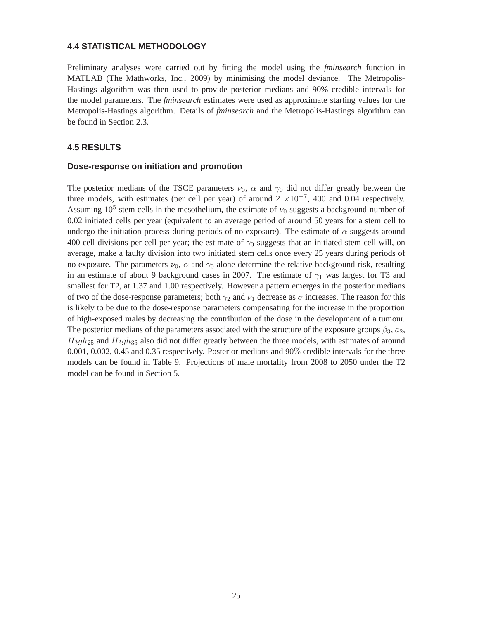#### <span id="page-31-0"></span>**4.4 STATISTICAL METHODOLOGY**

Preliminary analyses were carried out by fitting the model using the *fminsearch* function in MATLAB (The Mathworks, Inc., 2009) by minimising the model deviance. The Metropolis-Hastings algorithm was then used to provide posterior medians and 90% credible intervals for the model parameters. The *fminsearch* estimates were used as approximate starting values for the Metropolis-Hastings algorithm. Details of *fminsearch* and the Metropolis-Hastings algorithm can be found in Section 2.3.

#### **4.5 RESULTS**

#### **Dose-response on initiation and promotion**

The posterior medians of the TSCE parameters  $\nu_0$ ,  $\alpha$  and  $\gamma_0$  did not differ greatly between the three models, with estimates (per cell per year) of around  $2 \times 10^{-7}$ , 400 and 0.04 respectively. Assuming  $10^5$  stem cells in the mesothelium, the estimate of  $\nu_0$  suggests a background number of 0.02 initiated cells per year (equivalent to an average period of around 50 years for a stem cell to undergo the initiation process during periods of no exposure). The estimate of  $\alpha$  suggests around 400 cell divisions per cell per year; the estimate of  $\gamma_0$  suggests that an initiated stem cell will, on average, make a faulty division into two initiated stem cells once every 25 years during periods of no exposure. The parameters  $\nu_0$ ,  $\alpha$  and  $\gamma_0$  alone determine the relative background risk, resulting in an estimate of about 9 background cases in 2007. The estimate of  $\gamma_1$  was largest for T3 and smallest for T2, at 1.37 and 1.00 respectively. However a pattern emerges in the posterior medians of two of the dose-response parameters; both  $\gamma_2$  and  $\nu_1$  decrease as  $\sigma$  increases. The reason for this is likely to be due to the dose-response parameters compensating for the increase in the proportion of high-exposed males by decreasing the contribution of the dose in the development of a tumour. The posterior medians of the parameters associated with the structure of the exposure groups  $\beta_3$ ,  $a_2$ ,  $High_{25}$  and  $High_{35}$  also did not differ greatly between the three models, with estimates of around 0.001, 0.002, 0.45 and 0.35 respectively. Posterior medians and 90% credible intervals for the three models can be found in Table 9. Projections of male mortality from 2008 to 2050 under the T2 model can be found in Section 5.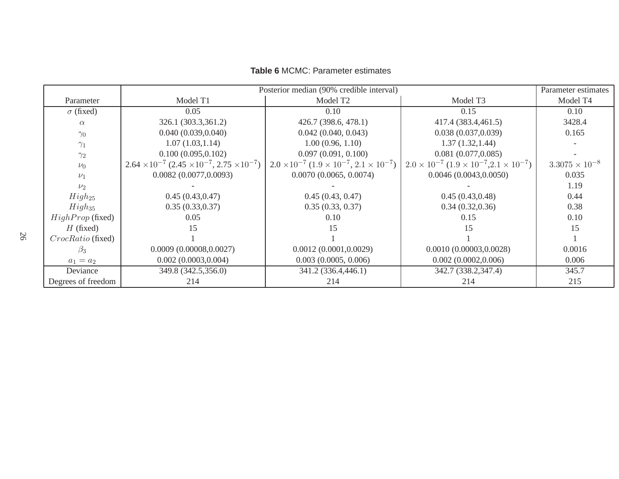|                          | Posterior median (90% credible interval)<br>Parameter estimates    |                                                                 |                                                                 |                         |  |
|--------------------------|--------------------------------------------------------------------|-----------------------------------------------------------------|-----------------------------------------------------------------|-------------------------|--|
| Parameter                | Model T1                                                           | Model T <sub>2</sub>                                            | Model T <sub>3</sub>                                            | Model T4                |  |
| $\sigma$ (fixed)         | 0.05                                                               | 0.10                                                            | 0.15                                                            | 0.10                    |  |
| $\alpha$                 | 326.1 (303.3,361.2)                                                | 426.7 (398.6, 478.1)                                            | 417.4 (383.4,461.5)                                             | 3428.4                  |  |
| $\gamma_0$               | 0.040(0.039, 0.040)                                                | 0.042(0.040, 0.043)                                             | 0.038(0.037, 0.039)                                             | 0.165                   |  |
| $\gamma_1$               | 1.07(1.03, 1.14)                                                   | 1.00(0.96, 1.10)                                                | 1.37(1.32, 1.44)                                                |                         |  |
| $\gamma_2$               | 0.100(0.095, 0.102)                                                | 0.097(0.091, 0.100)                                             | 0.081(0.077, 0.085)                                             |                         |  |
| $\nu_0$                  | $2.64 \times 10^{-7}$ $(2.45 \times 10^{-7}, 2.75 \times 10^{-7})$ | $2.0 \times 10^{-7}$ $(1.9 \times 10^{-7}, 2.1 \times 10^{-7})$ | $2.0 \times 10^{-7}$ $(1.9 \times 10^{-7}, 2.1 \times 10^{-7})$ | $3.3075 \times 10^{-8}$ |  |
| $\nu_1$                  | 0.0082(0.0077, 0.0093)                                             | 0.0070(0.0065, 0.0074)                                          | 0.0046(0.0043, 0.0050)                                          | 0.035                   |  |
| $\nu_2$                  |                                                                    |                                                                 |                                                                 | 1.19                    |  |
| $High_{25}$              | 0.45(0.43, 0.47)                                                   | 0.45(0.43, 0.47)                                                | 0.45(0.43, 0.48)                                                | 0.44                    |  |
| $High_{35}$              | 0.35(0.33, 0.37)                                                   | 0.35(0.33, 0.37)                                                | 0.34(0.32, 0.36)                                                | 0.38                    |  |
| $HighProp$ (fixed)       | 0.05                                                               | 0.10                                                            | 0.15                                                            | 0.10                    |  |
| $H$ (fixed)              | 15                                                                 | 15                                                              | 15                                                              | 15                      |  |
| <i>CrocRatio</i> (fixed) |                                                                    |                                                                 |                                                                 |                         |  |
| $\beta_3$                | 0.0009(0.00008, 0.0027)                                            | 0.0012(0.0001, 0.0029)                                          | 0.0010(0.00003, 0.0028)                                         | 0.0016                  |  |
| $a_1 = a_2$              | 0.002(0.0003, 0.004)                                               | $0.003$ $(0.0005, 0.006)$                                       | 0.002(0.0002, 0.006)                                            | 0.006                   |  |
| Deviance                 | 349.8 (342.5,356.0)                                                | 341.2 (336.4,446.1)                                             | 342.7 (338.2,347.4)                                             | 345.7                   |  |
| Degrees of freedom       | 214                                                                | 214                                                             | 214                                                             | 215                     |  |

#### **Table 6** MCMC: Parameter estimates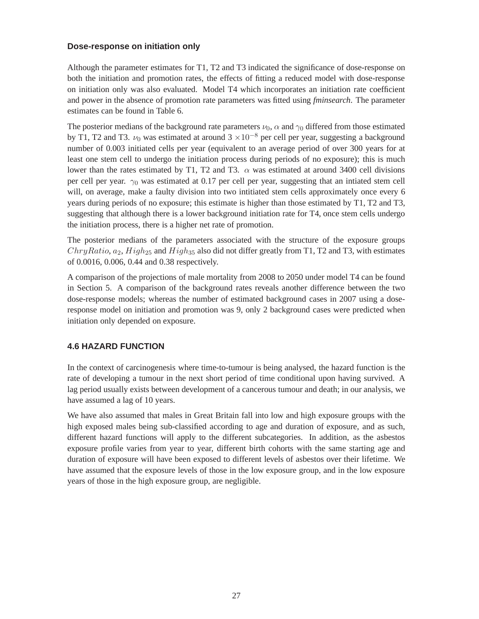#### <span id="page-33-0"></span>**Dose-response on initiation only**

Although the parameter estimates for T1, T2 and T3 indicated the significance of dose-response on both the initiation and promotion rates, the effects of fitting a reduced model with dose-response on initiation only was also evaluated. Model T4 which incorporates an initiation rate coefficient and power in the absence of promotion rate parameters was fitted using *fminsearch*. The parameter estimates can be found in Table 6.

The posterior medians of the background rate parameters  $\nu_0$ ,  $\alpha$  and  $\gamma_0$  differed from those estimated by T1, T2 and T3.  $\nu_0$  was estimated at around 3 ×10<sup>-8</sup> per cell per year, suggesting a background number of 0.003 initiated cells per year (equivalent to an average period of over 300 years for at least one stem cell to undergo the initiation process during periods of no exposure); this is much lower than the rates estimated by T1, T2 and T3.  $\alpha$  was estimated at around 3400 cell divisions per cell per year.  $\gamma_0$  was estimated at 0.17 per cell per year, suggesting that an intiated stem cell will, on average, make a faulty division into two intitiated stem cells approximately once every 6 years during periods of no exposure; this estimate is higher than those estimated by T1, T2 and T3, suggesting that although there is a lower background initiation rate for T4, once stem cells undergo the initiation process, there is a higher net rate of promotion.

The posterior medians of the parameters associated with the structure of the exposure groups  $ChryRatio, a_2$ ,  $High_{25}$  and  $High_{35}$  also did not differ greatly from T1, T2 and T3, with estimates of 0.0016, 0.006, 0.44 and 0.38 respectively.

A comparison of the projections of male mortality from 2008 to 2050 under model T4 can be found in Section 5. A comparison of the background rates reveals another difference between the two dose-response models; whereas the number of estimated background cases in 2007 using a doseresponse model on initiation and promotion was 9, only 2 background cases were predicted when initiation only depended on exposure.

# **4.6 HAZARD FUNCTION**

In the context of carcinogenesis where time-to-tumour is being analysed, the hazard function is the rate of developing a tumour in the next short period of time conditional upon having survived. A lag period usually exists between development of a cancerous tumour and death; in our analysis, we have assumed a lag of 10 years.

We have also assumed that males in Great Britain fall into low and high exposure groups with the high exposed males being sub-classified according to age and duration of exposure, and as such, different hazard functions will apply to the different subcategories. In addition, as the asbestos exposure profile varies from year to year, different birth cohorts with the same starting age and duration of exposure will have been exposed to different levels of asbestos over their lifetime. We have assumed that the exposure levels of those in the low exposure group, and in the low exposure years of those in the high exposure group, are negligible.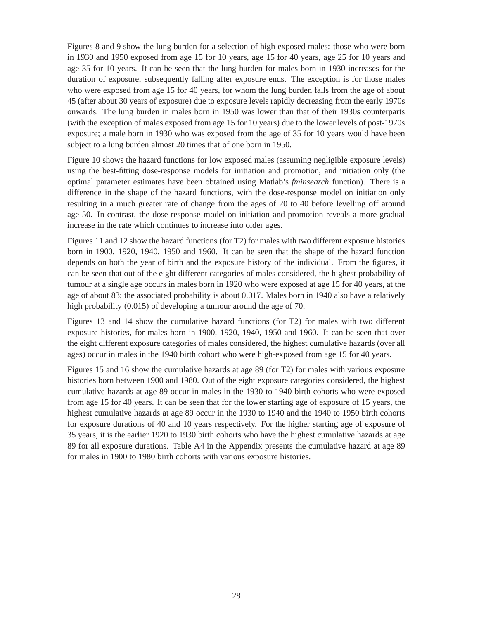Figures 8 and 9 show the lung burden for a selection of high exposed males: those who were born in 1930 and 1950 exposed from age 15 for 10 years, age 15 for 40 years, age 25 for 10 years and age 35 for 10 years. It can be seen that the lung burden for males born in 1930 increases for the duration of exposure, subsequently falling after exposure ends. The exception is for those males who were exposed from age 15 for 40 years, for whom the lung burden falls from the age of about 45 (after about 30 years of exposure) due to exposure levels rapidly decreasing from the early 1970s onwards. The lung burden in males born in 1950 was lower than that of their 1930s counterparts (with the exception of males exposed from age 15 for 10 years) due to the lower levels of post-1970s exposure; a male born in 1930 who was exposed from the age of 35 for 10 years would have been subject to a lung burden almost 20 times that of one born in 1950.

Figure 10 shows the hazard functions for low exposed males (assuming negligible exposure levels) using the best-fitting dose-response models for initiation and promotion, and initiation only (the optimal parameter estimates have been obtained using Matlab's *fminsearch* function). There is a difference in the shape of the hazard functions, with the dose-response model on initiation only resulting in a much greater rate of change from the ages of 20 to 40 before levelling off around age 50. In contrast, the dose-response model on initiation and promotion reveals a more gradual increase in the rate which continues to increase into older ages.

Figures 11 and 12 show the hazard functions (for T2) for males with two different exposure histories born in 1900, 1920, 1940, 1950 and 1960. It can be seen that the shape of the hazard function depends on both the year of birth and the exposure history of the individual. From the figures, it can be seen that out of the eight different categories of males considered, the highest probability of tumour at a single age occurs in males born in 1920 who were exposed at age 15 for 40 years, at the age of about 83; the associated probability is about 0.017. Males born in 1940 also have a relatively high probability (0.015) of developing a tumour around the age of 70.

Figures 13 and 14 show the cumulative hazard functions (for T2) for males with two different exposure histories, for males born in 1900, 1920, 1940, 1950 and 1960. It can be seen that over the eight different exposure categories of males considered, the highest cumulative hazards (over all ages) occur in males in the 1940 birth cohort who were high-exposed from age 15 for 40 years.

Figures 15 and 16 show the cumulative hazards at age 89 (for T2) for males with various exposure histories born between 1900 and 1980. Out of the eight exposure categories considered, the highest cumulative hazards at age 89 occur in males in the 1930 to 1940 birth cohorts who were exposed from age 15 for 40 years. It can be seen that for the lower starting age of exposure of 15 years, the highest cumulative hazards at age 89 occur in the 1930 to 1940 and the 1940 to 1950 birth cohorts for exposure durations of 40 and 10 years respectively. For the higher starting age of exposure of 35 years, it is the earlier 1920 to 1930 birth cohorts who have the highest cumulative hazards at age 89 for all exposure durations. Table A4 in the Appendix presents the cumulative hazard at age 89 for males in 1900 to 1980 birth cohorts with various exposure histories.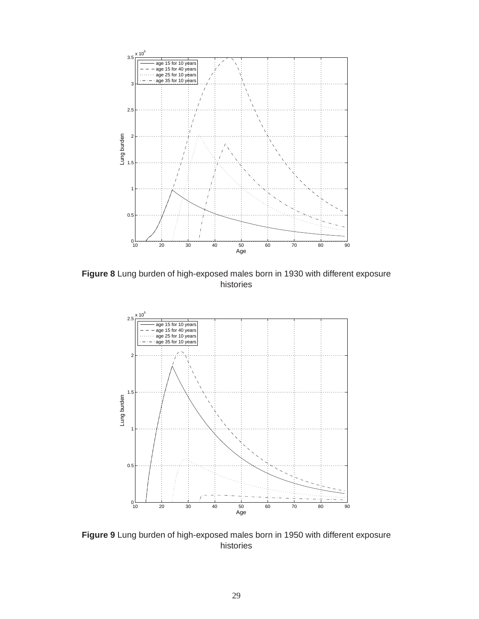

**Figure 8** Lung burden of high-exposed males born in 1930 with different exposure histories



**Figure 9** Lung burden of high-exposed males born in 1950 with different exposure histories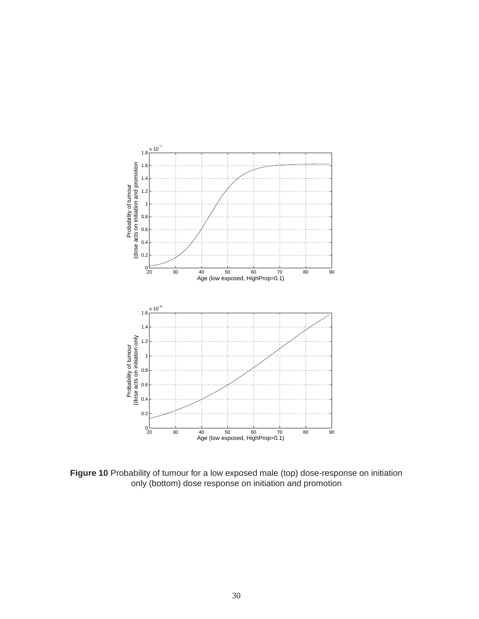

**Figure 10** Probability of tumour for a low exposed male (top) dose-response on initiation only (bottom) dose response on initiation and promotion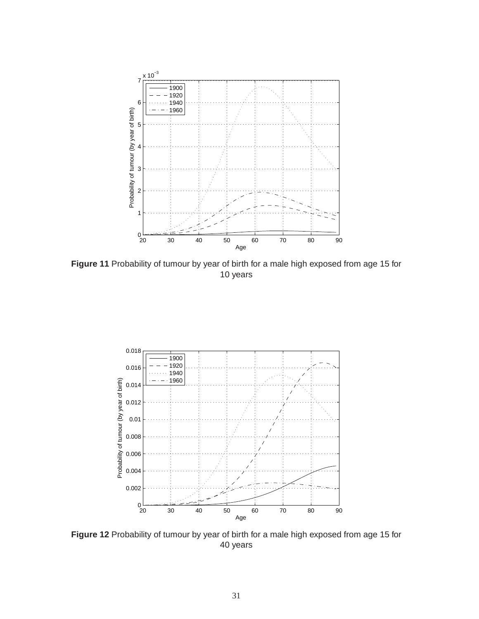

**Figure 11** Probability of tumour by year of birth for a male high exposed from age 15 for 10 years



**Figure 12** Probability of tumour by year of birth for a male high exposed from age 15 for 40 years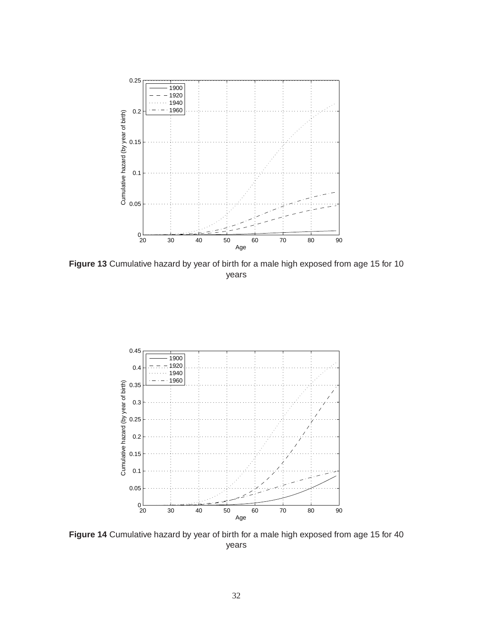

**Figure 13** Cumulative hazard by year of birth for a male high exposed from age 15 for 10 years



**Figure 14** Cumulative hazard by year of birth for a male high exposed from age 15 for 40 years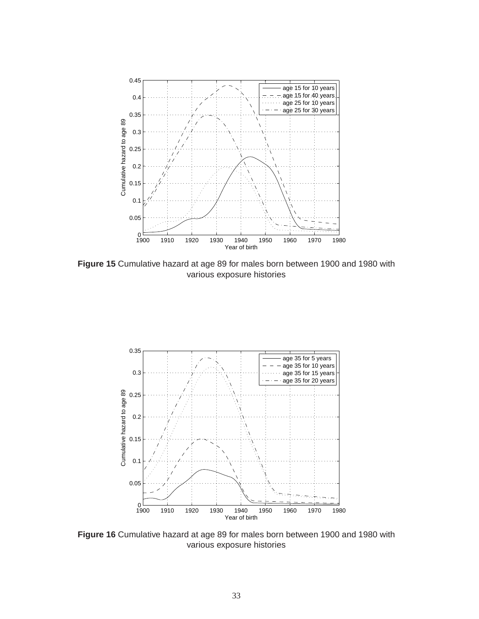

**Figure 15** Cumulative hazard at age 89 for males born between 1900 and 1980 with various exposure histories



**Figure 16** Cumulative hazard at age 89 for males born between 1900 and 1980 with various exposure histories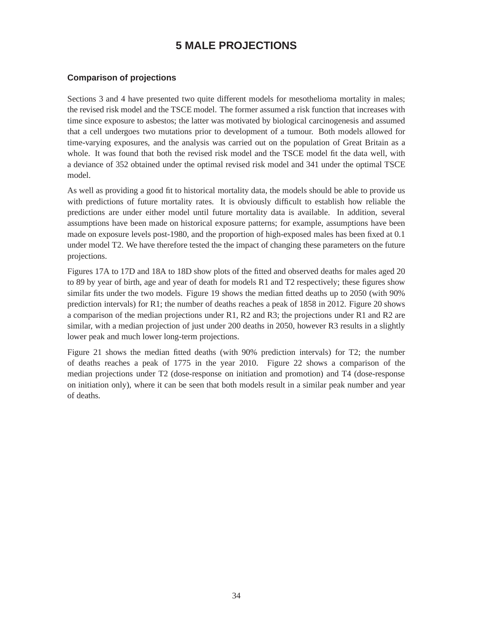# **5 MALE PROJECTIONS**

## <span id="page-40-0"></span>**Comparison of projections**

Sections 3 and 4 have presented two quite different models for mesothelioma mortality in males; the revised risk model and the TSCE model. The former assumed a risk function that increases with time since exposure to asbestos; the latter was motivated by biological carcinogenesis and assumed that a cell undergoes two mutations prior to development of a tumour. Both models allowed for time-varying exposures, and the analysis was carried out on the population of Great Britain as a whole. It was found that both the revised risk model and the TSCE model fit the data well, with a deviance of 352 obtained under the optimal revised risk model and 341 under the optimal TSCE model.

As well as providing a good fit to historical mortality data, the models should be able to provide us with predictions of future mortality rates. It is obviously difficult to establish how reliable the predictions are under either model until future mortality data is available. In addition, several assumptions have been made on historical exposure patterns; for example, assumptions have been made on exposure levels post-1980, and the proportion of high-exposed males has been fixed at 0.1 under model T2. We have therefore tested the the impact of changing these parameters on the future projections.

Figures 17A to 17D and 18A to 18D show plots of the fitted and observed deaths for males aged 20 to 89 by year of birth, age and year of death for models R1 and T2 respectively; these figures show similar fits under the two models. Figure 19 shows the median fitted deaths up to 2050 (with 90% prediction intervals) for R1; the number of deaths reaches a peak of 1858 in 2012. Figure 20 shows a comparison of the median projections under R1, R2 and R3; the projections under R1 and R2 are similar, with a median projection of just under 200 deaths in 2050, however R3 results in a slightly lower peak and much lower long-term projections.

Figure 21 shows the median fitted deaths (with 90% prediction intervals) for T2; the number of deaths reaches a peak of 1775 in the year 2010. Figure 22 shows a comparison of the median projections under T2 (dose-response on initiation and promotion) and T4 (dose-response on initiation only), where it can be seen that both models result in a similar peak number and year of deaths.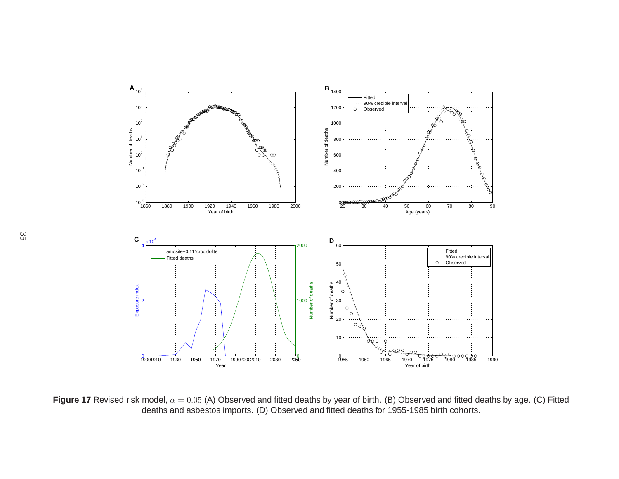

**Figure 17** Revised risk model,  $\alpha = 0.05$  (A) Observed and fitted deaths by year of birth. (B) Observed and fitted deaths by age. (C) Fitted deaths and asbestos imports. (D) Observed and fitted deaths for 1955-1985 birth cohorts.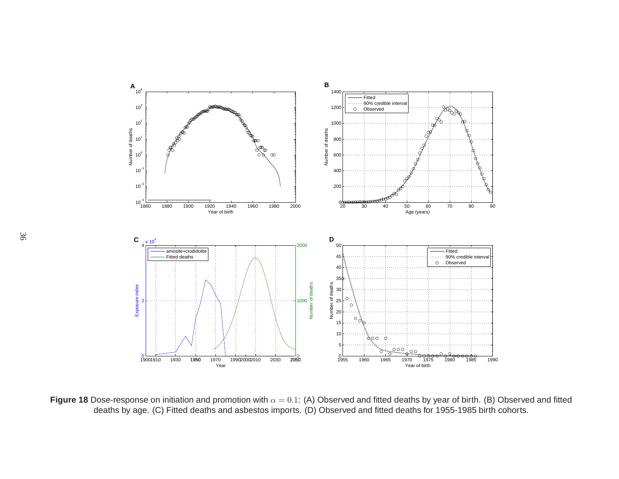

**Figure 18** Dose-response on initiation and promotion with  $\alpha = 0.1$ : (A) Observed and fitted deaths by year of birth. (B) Observed and fitted deaths by age. (C) Fitted deaths and asbestos imports. (D) Observed and fitted deaths for 1955-1985 birth cohorts.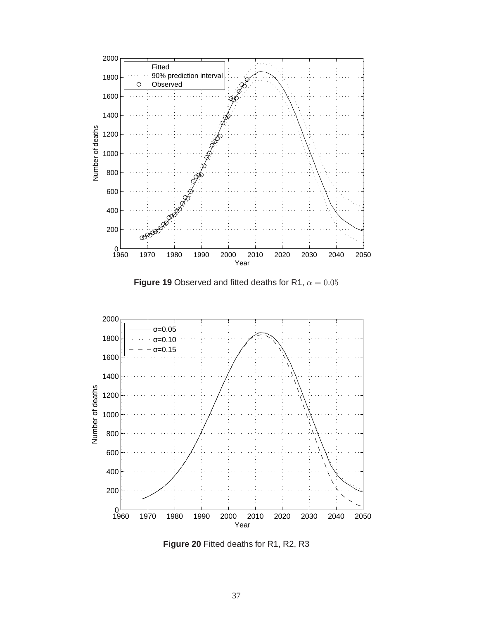<span id="page-43-0"></span>![](_page_43_Figure_0.jpeg)

![](_page_43_Figure_1.jpeg)

![](_page_43_Figure_2.jpeg)

**Figure 20** Fitted deaths for R1, R2, R3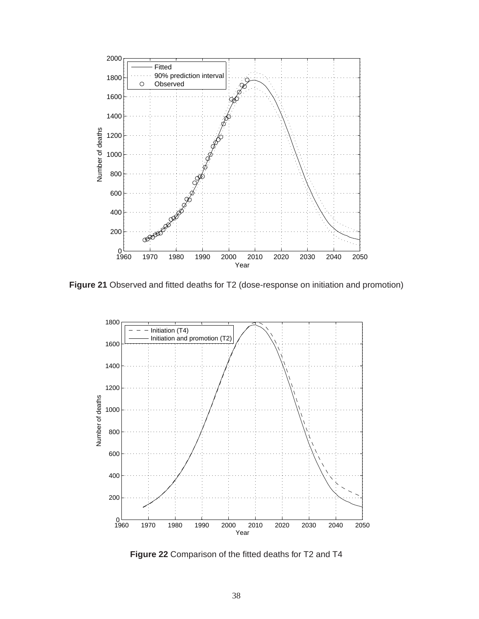![](_page_44_Figure_0.jpeg)

**Figure 21** Observed and fitted deaths for T2 (dose-response on initiation and promotion)

![](_page_44_Figure_2.jpeg)

**Figure 22** Comparison of the fitted deaths for T2 and T4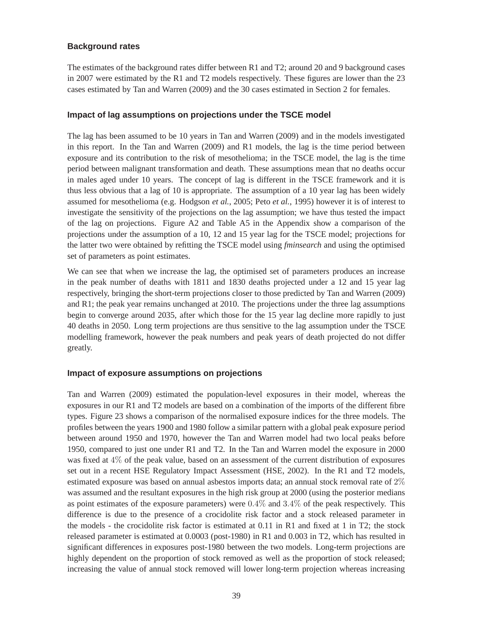#### **Background rates**

The estimates of the background rates differ between R1 and T2; around 20 and 9 background cases in 2007 were estimated by the R1 and T2 models respectively. These figures are lower than the 23 cases estimated by Tan and Warren (2009) and the 30 cases estimated in Section 2 for females.

#### **Impact of lag assumptions on projections under the TSCE model**

The lag has been assumed to be 10 years in Tan and Warren (2009) and in the models investigated in this report. In the Tan and Warren (2009) and R1 models, the lag is the time period between exposure and its contribution to the risk of mesothelioma; in the TSCE model, the lag is the time period between malignant transformation and death. These assumptions mean that no deaths occur in males aged under 10 years. The concept of lag is different in the TSCE framework and it is thus less obvious that a lag of 10 is appropriate. The assumption of a 10 year lag has been widely assumed for mesothelioma (e.g. Hodgson *et al.*, 2005; Peto *et al.*, 1995) however it is of interest to investigate the sensitivity of the projections on the lag assumption; we have thus tested the impact of the lag on projections. Figure A2 and Table A5 in the Appendix show a comparison of the projections under the assumption of a 10, 12 and 15 year lag for the TSCE model; projections for the latter two were obtained by refitting the TSCE model using *fminsearch* and using the optimised set of parameters as point estimates.

We can see that when we increase the lag, the optimised set of parameters produces an increase in the peak number of deaths with 1811 and 1830 deaths projected under a 12 and 15 year lag respectively, bringing the short-term projections closer to those predicted by Tan and Warren (2009) and R1; the peak year remains unchanged at 2010. The projections under the three lag assumptions begin to converge around 2035, after which those for the 15 year lag decline more rapidly to just 40 deaths in 2050. Long term projections are thus sensitive to the lag assumption under the TSCE modelling framework, however the peak numbers and peak years of death projected do not differ greatly.

#### **Impact of exposure assumptions on projections**

Tan and Warren (2009) estimated the population-level exposures in their model, whereas the exposures in our R1 and T2 models are based on a combination of the imports of the different fibre types. Figure 23 shows a comparison of the normalised exposure indices for the three models. The profiles between the years 1900 and 1980 follow a similar pattern with a global peak exposure period between around 1950 and 1970, however the Tan and Warren model had two local peaks before 1950, compared to just one under R1 and T2. In the Tan and Warren model the exposure in 2000 was fixed at 4% of the peak value, based on an assessment of the current distribution of exposures set out in a recent HSE Regulatory Impact Assessment (HSE, 2002). In the R1 and T2 models, estimated exposure was based on annual asbestos imports data; an annual stock removal rate of 2% was assumed and the resultant exposures in the high risk group at 2000 (using the posterior medians as point estimates of the exposure parameters) were  $0.4\%$  and  $3.4\%$  of the peak respectively. This difference is due to the presence of a crocidolite risk factor and a stock released parameter in the models - the crocidolite risk factor is estimated at 0.11 in R1 and fixed at 1 in T2; the stock released parameter is estimated at 0.0003 (post-1980) in R1 and 0.003 in T2, which has resulted in significant differences in exposures post-1980 between the two models. Long-term projections are highly dependent on the proportion of stock removed as well as the proportion of stock released; increasing the value of annual stock removed will lower long-term projection whereas increasing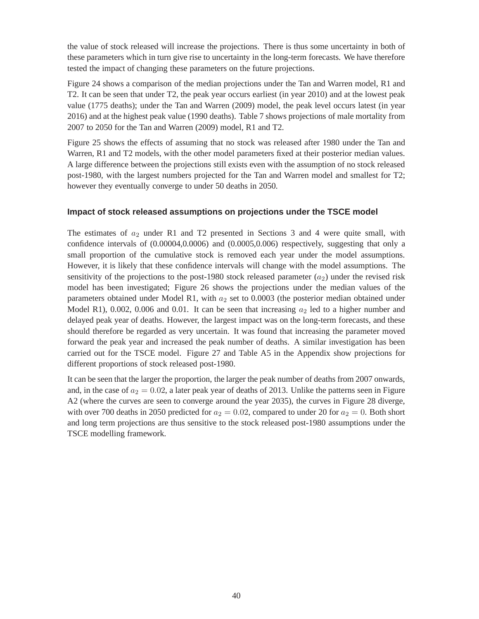the value of stock released will increase the projections. There is thus some uncertainty in both of these parameters which in turn give rise to uncertainty in the long-term forecasts. We have therefore tested the impact of changing these parameters on the future projections.

Figure 24 shows a comparison of the median projections under the Tan and Warren model, R1 and T2. It can be seen that under T2, the peak year occurs earliest (in year 2010) and at the lowest peak value (1775 deaths); under the Tan and Warren (2009) model, the peak level occurs latest (in year 2016) and at the highest peak value (1990 deaths). Table 7 shows projections of male mortality from 2007 to 2050 for the Tan and Warren (2009) model, R1 and T2.

Figure 25 shows the effects of assuming that no stock was released after 1980 under the Tan and Warren, R1 and T2 models, with the other model parameters fixed at their posterior median values. A large difference between the projections still exists even with the assumption of no stock released post-1980, with the largest numbers projected for the Tan and Warren model and smallest for T2; however they eventually converge to under 50 deaths in 2050.

#### **Impact of stock released assumptions on projections under the TSCE model**

The estimates of  $a_2$  under R1 and T2 presented in Sections 3 and 4 were quite small, with confidence intervals of (0.00004,0.0006) and (0.0005,0.006) respectively, suggesting that only a small proportion of the cumulative stock is removed each year under the model assumptions. However, it is likely that these confidence intervals will change with the model assumptions. The sensitivity of the projections to the post-1980 stock released parameter  $(a_2)$  under the revised risk model has been investigated; Figure 26 shows the projections under the median values of the parameters obtained under Model R1, with  $a_2$  set to 0.0003 (the posterior median obtained under Model R1), 0.002, 0.006 and 0.01. It can be seen that increasing  $a_2$  led to a higher number and delayed peak year of deaths. However, the largest impact was on the long-term forecasts, and these should therefore be regarded as very uncertain. It was found that increasing the parameter moved forward the peak year and increased the peak number of deaths. A similar investigation has been carried out for the TSCE model. Figure 27 and Table A5 in the Appendix show projections for different proportions of stock released post-1980.

It can be seen that the larger the proportion, the larger the peak number of deaths from 2007 onwards, and, in the case of  $a_2 = 0.02$ , a later peak year of deaths of 2013. Unlike the patterns seen in Figure A2 (where the curves are seen to converge around the year 2035), the curves in Figure 28 diverge, with over 700 deaths in 2050 predicted for  $a_2 = 0.02$ , compared to under 20 for  $a_2 = 0$ . Both short and long term projections are thus sensitive to the stock released post-1980 assumptions under the TSCE modelling framework.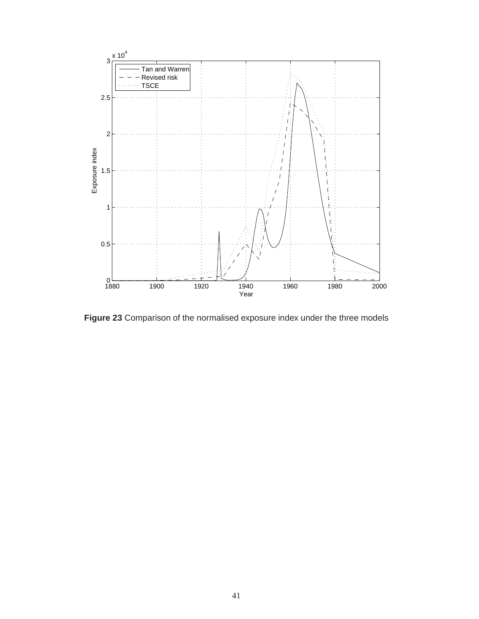![](_page_47_Figure_0.jpeg)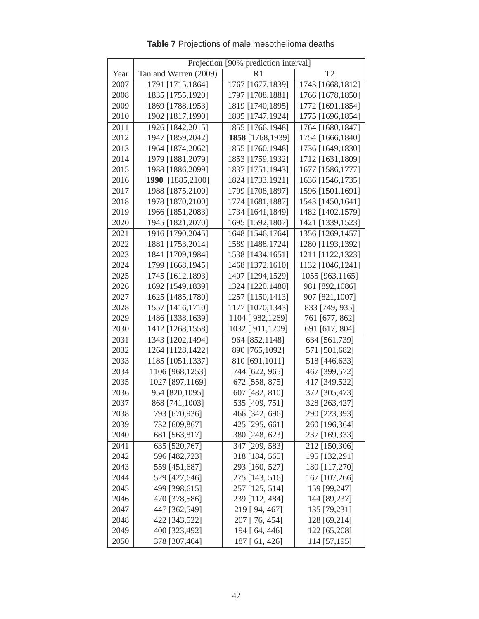|      | Projection [90% prediction interval] |                  |                  |  |
|------|--------------------------------------|------------------|------------------|--|
| Year | Tan and Warren (2009)                | R1               | T <sub>2</sub>   |  |
| 2007 | 1791 [1715,1864]                     | 1767 [1677,1839] | 1743 [1668,1812] |  |
| 2008 | 1835 [1755,1920]                     | 1797 [1708,1881] | 1766 [1678,1850] |  |
| 2009 | 1869 [1788,1953]                     | 1819 [1740,1895] | 1772 [1691,1854] |  |
| 2010 | 1902 [1817,1990]                     | 1835 [1747,1924] | 1775 [1696,1854] |  |
| 2011 | 1926 [1842,2015]                     | 1855 [1766,1948] | 1764 [1680,1847] |  |
| 2012 | 1947 [1859,2042]                     | 1858 [1768,1939] | 1754 [1666,1840] |  |
| 2013 | 1964 [1874,2062]                     | 1855 [1760,1948] | 1736 [1649,1830] |  |
| 2014 | 1979 [1881,2079]                     | 1853 [1759,1932] | 1712 [1631,1809] |  |
| 2015 | 1988 [1886,2099]                     | 1837 [1751,1943] | 1677 [1586,1777] |  |
| 2016 | 1990 [1885,2100]                     | 1824 [1733,1921] | 1636 [1546,1735] |  |
| 2017 | 1988 [1875,2100]                     | 1799 [1708,1897] | 1596 [1501,1691] |  |
| 2018 | 1978 [1870,2100]                     | 1774 [1681,1887] | 1543 [1450,1641] |  |
| 2019 | 1966 [1851,2083]                     | 1734 [1641,1849] | 1482 [1402,1579] |  |
| 2020 | 1945 [1821,2070]                     | 1695 [1592,1807] | 1421 [1339,1523] |  |
| 2021 | 1916 [1790,2045]                     | 1648 [1546,1764] | 1356 [1269,1457] |  |
| 2022 | 1881 [1753,2014]                     | 1589 [1488,1724] | 1280 [1193,1392] |  |
| 2023 | 1841 [1709,1984]                     | 1538 [1434,1651] | 1211 [1122,1323] |  |
| 2024 | 1799 [1668,1945]                     | 1468 [1372,1610] | 1132 [1046,1241] |  |
| 2025 | 1745 [1612,1893]                     | 1407 [1294,1529] | 1055 [963,1165]  |  |
| 2026 | 1692 [1549,1839]                     | 1324 [1220,1480] | 981 [892,1086]   |  |
| 2027 | 1625 [1485,1780]                     | 1257 [1150,1413] | 907 [821,1007]   |  |
| 2028 | 1557 [1416,1710]                     | 1177 [1070,1343] | 833 [749, 935]   |  |
| 2029 | 1486 [1338,1639]                     | 1104 [982,1269]  | 761 [677, 862]   |  |
| 2030 | 1412 [1268,1558]                     | 1032 [911,1209]  | 691 [617, 804]   |  |
| 2031 | 1343 [1202,1494]                     | 964 [852,1148]   | 634 [561,739]    |  |
| 2032 | 1264 [1128,1422]                     | 890 [765,1092]   | 571 [501,682]    |  |
| 2033 | 1185 [1051,1337]                     | 810 [691,1011]   | 518 [446,633]    |  |
| 2034 | 1106 [968,1253]                      | 744 [622, 965]   | 467 [399,572]    |  |
| 2035 | 1027 [897,1169]                      | 672 [558, 875]   | 417 [349,522]    |  |
| 2036 | 954 [820,1095]                       | 607 [482, 810]   | 372 [305,473]    |  |
| 2037 | 868 [741,1003]                       | 535 [409, 751]   | 328 [263,427]    |  |
| 2038 | 793 [670,936]                        | 466 [342, 696]   | 290 [223,393]    |  |
| 2039 | 732 [609,867]                        | 425 [295, 661]   | 260 [196,364]    |  |
| 2040 | 681 [563,817]                        | 380 [248, 623]   | 237 [169,333]    |  |
| 2041 | 635 [520,767]                        | 347 [209, 583]   | 212 [150,306]    |  |
| 2042 | 596 [482,723]                        | 318 [184, 565]   | 195 [132,291]    |  |
| 2043 | 559 [451,687]                        | 293 [160, 527]   | 180 [117,270]    |  |
| 2044 | 529 [427,646]                        | 275 [143, 516]   | 167 [107,266]    |  |
| 2045 | 499 [398,615]                        | 257 [125, 514]   | 159 [99,247]     |  |
| 2046 | 470 [378,586]                        | 239 [112, 484]   | 144 [89,237]     |  |
| 2047 | 447 [362,549]                        | 219 [ 94, 467]   | 135 [79,231]     |  |
| 2048 | 422 [343,522]                        | 207 [ 76, 454]   | 128 [69,214]     |  |
| 2049 | 400 [323,492]                        | 194 [64, 446]    | 122 [65,208]     |  |
| 2050 | 378 [307,464]                        | 187 [61, 426]    | 114 [57,195]     |  |

**Table 7** Projections of male mesothelioma deaths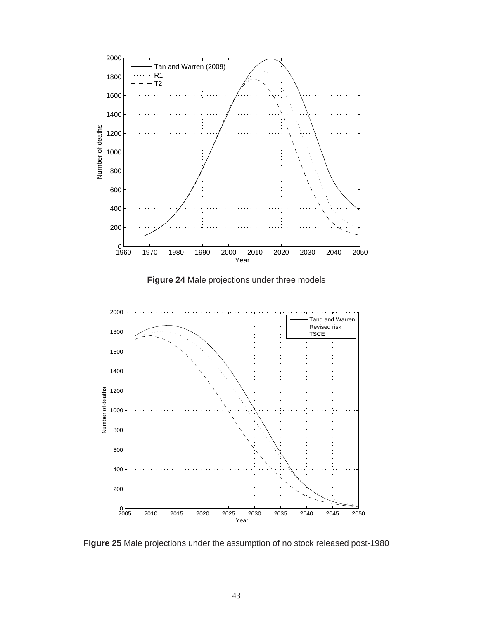![](_page_49_Figure_0.jpeg)

![](_page_49_Figure_1.jpeg)

![](_page_49_Figure_2.jpeg)

**Figure 25** Male projections under the assumption of no stock released post-1980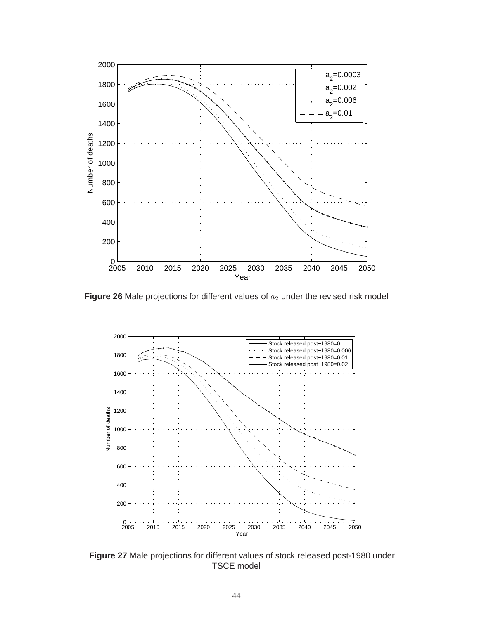![](_page_50_Figure_0.jpeg)

**Figure 26** Male projections for different values of  $a_2$  under the revised risk model

![](_page_50_Figure_2.jpeg)

**Figure 27** Male projections for different values of stock released post-1980 under TSCE model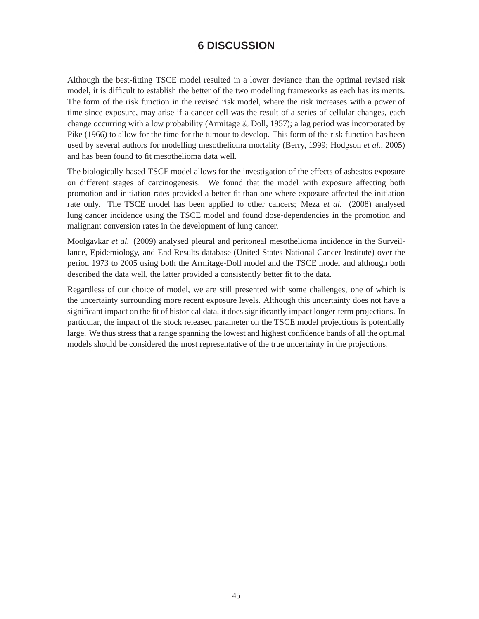# **6 DISCUSSION**

<span id="page-51-0"></span>Although the best-fitting TSCE model resulted in a lower deviance than the optimal revised risk model, it is difficult to establish the better of the two modelling frameworks as each has its merits. The form of the risk function in the revised risk model, where the risk increases with a power of time since exposure, may arise if a cancer cell was the result of a series of cellular changes, each change occurring with a low probability (Armitage  $&$  Doll, 1957); a lag period was incorporated by Pike (1966) to allow for the time for the tumour to develop. This form of the risk function has been used by several authors for modelling mesothelioma mortality (Berry, 1999; Hodgson *et al.*, 2005) and has been found to fit mesothelioma data well.

The biologically-based TSCE model allows for the investigation of the effects of asbestos exposure on different stages of carcinogenesis. We found that the model with exposure affecting both promotion and initiation rates provided a better fit than one where exposure affected the initiation rate only. The TSCE model has been applied to other cancers; Meza *et al.* (2008) analysed lung cancer incidence using the TSCE model and found dose-dependencies in the promotion and malignant conversion rates in the development of lung cancer.

Moolgavkar *et al.* (2009) analysed pleural and peritoneal mesothelioma incidence in the Surveillance, Epidemiology, and End Results database (United States National Cancer Institute) over the period 1973 to 2005 using both the Armitage-Doll model and the TSCE model and although both described the data well, the latter provided a consistently better fit to the data.

Regardless of our choice of model, we are still presented with some challenges, one of which is the uncertainty surrounding more recent exposure levels. Although this uncertainty does not have a significant impact on the fit of historical data, it does significantly impact longer-term projections. In particular, the impact of the stock released parameter on the TSCE model projections is potentially large. We thus stress that a range spanning the lowest and highest confidence bands of all the optimal models should be considered the most representative of the true uncertainty in the projections.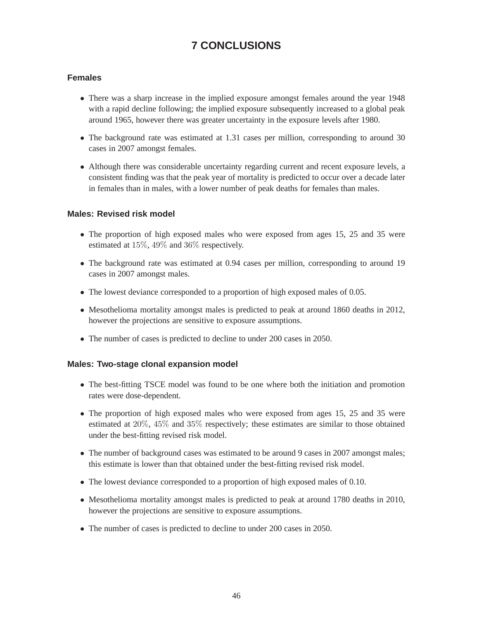# **7 CONCLUSIONS**

#### <span id="page-52-0"></span>**Females**

- There was a sharp increase in the implied exposure amongst females around the year 1948 with a rapid decline following; the implied exposure subsequently increased to a global peak around 1965, however there was greater uncertainty in the exposure levels after 1980.
- The background rate was estimated at 1.31 cases per million, corresponding to around 30 cases in 2007 amongst females.
- Although there was considerable uncertainty regarding current and recent exposure levels, a consistent finding was that the peak year of mortality is predicted to occur over a decade later in females than in males, with a lower number of peak deaths for females than males.

#### **Males: Revised risk model**

- The proportion of high exposed males who were exposed from ages 15, 25 and 35 were estimated at 15%, 49% and 36% respectively.
- The background rate was estimated at 0.94 cases per million, corresponding to around 19 cases in 2007 amongst males.
- The lowest deviance corresponded to a proportion of high exposed males of 0.05.
- Mesothelioma mortality amongst males is predicted to peak at around 1860 deaths in 2012, however the projections are sensitive to exposure assumptions.
- The number of cases is predicted to decline to under 200 cases in 2050.

#### **Males: Two-stage clonal expansion model**

- The best-fitting TSCE model was found to be one where both the initiation and promotion rates were dose-dependent.
- The proportion of high exposed males who were exposed from ages 15, 25 and 35 were estimated at 20%, 45% and 35% respectively; these estimates are similar to those obtained under the best-fitting revised risk model.
- The number of background cases was estimated to be around 9 cases in 2007 amongst males; this estimate is lower than that obtained under the best-fitting revised risk model.
- The lowest deviance corresponded to a proportion of high exposed males of 0.10.
- Mesothelioma mortality amongst males is predicted to peak at around 1780 deaths in 2010, however the projections are sensitive to exposure assumptions.
- The number of cases is predicted to decline to under 200 cases in 2050.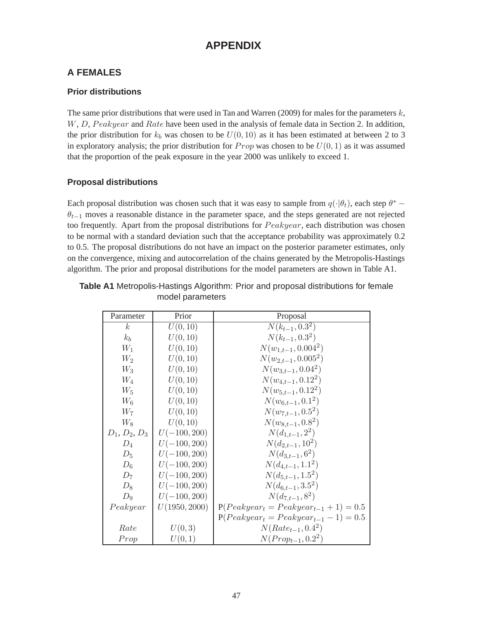# **APPENDIX**

# **A FEMALES**

# **Prior distributions**

The same prior distributions that were used in Tan and Warren (2009) for males for the parameters  $k$ ,  $W, D, Peakyear$  and  $Rate$  have been used in the analysis of female data in Section 2. In addition, the prior distribution for  $k_b$  was chosen to be  $U(0, 10)$  as it has been estimated at between 2 to 3 in exploratory analysis; the prior distribution for  $Prop$  was chosen to be  $U(0, 1)$  as it was assumed that the proportion of the peak exposure in the year 2000 was unlikely to exceed 1.

# **Proposal distributions**

Each proposal distribution was chosen such that it was easy to sample from  $q(\cdot|\theta_t)$ , each step  $\theta^*$  −  $\theta_{t-1}$  moves a reasonable distance in the parameter space, and the steps generated are not rejected too frequently. Apart from the proposal distributions for  $Peakyear$ , each distribution was chosen to be normal with a standard deviation such that the acceptance probability was approximately 0.2 to 0.5. The proposal distributions do not have an impact on the posterior parameter estimates, only on the convergence, mixing and autocorrelation of the chains generated by the Metropolis-Hastings algorithm. The prior and proposal distributions for the model parameters are shown in Table A1.

| Parameter                       | Prior          | Proposal                                   |
|---------------------------------|----------------|--------------------------------------------|
| k <sub>i</sub>                  | U(0, 10)       | $N(k_{t-1}, 0.3^2)$                        |
| $k_b$                           | U(0, 10)       | $N(k_{t-1}, 0.3^2)$                        |
| $W_1$                           | U(0, 10)       | $N(w_{1,t-1}, 0.004^2)$                    |
| $W_2$                           | U(0, 10)       | $N(w_{2,t-1}, 0.005^2)$                    |
| $W_3$                           | U(0, 10)       | $N(w_{3,t-1},0.04^2)$                      |
| $W_4$                           | U(0, 10)       | $N(w_{4,t-1}, 0.12^2)$                     |
| $W_5$                           | U(0, 10)       | $N(w_{5,t-1}, 0.12^2)$                     |
| $W_6$                           | U(0, 10)       | $N(w_{6,t-1},0.1^2)$                       |
| $W_7$                           | U(0, 10)       | $N(w_{7,t-1},0.5^2)$                       |
| $\mathcal{W}_8$                 | U(0, 10)       | $N(w_{8,t-1},0.8^2)$                       |
| $D_1, D_2, D_3$                 | $U(-100, 200)$ | $N(d_{1,t-1}, 2^2)$                        |
| $D_4$                           | $U(-100, 200)$ | $N(d_{2,t-1}, 10^2)$                       |
| $D_5$                           | $U(-100, 200)$ | $N(d_{3,t-1},6^2)$                         |
| $D_6$                           | $U(-100, 200)$ | $N(d_{4,t-1}, 1.1^2)$                      |
| $D_7$                           | $U(-100, 200)$ | $N(d_{5,t-1}, 1.5^2)$                      |
| $D_8$                           | $U(-100, 200)$ | $N(d_{6,t-1}, 3.5^2)$                      |
| $D_9$                           | $U(-100, 200)$ | $N(d_{7,t-1},8^2)$                         |
| $\label{eq:peakycar} Peak year$ | U(1950, 2000)  | $P(Peakyear_t = Peakyear_{t-1} + 1) = 0.5$ |
|                                 |                | $P(Peakyear_t = Peakyear_{t-1} - 1) = 0.5$ |
| Rate                            | U(0,3)         | $N(Rate_{t-1}, 0.4^2)$                     |
| Prop                            | U(0, 1)        | $N(Prop_{t-1}, 0.2^2)$                     |

**Table A1** Metropolis-Hastings Algorithm: Prior and proposal distributions for female model parameters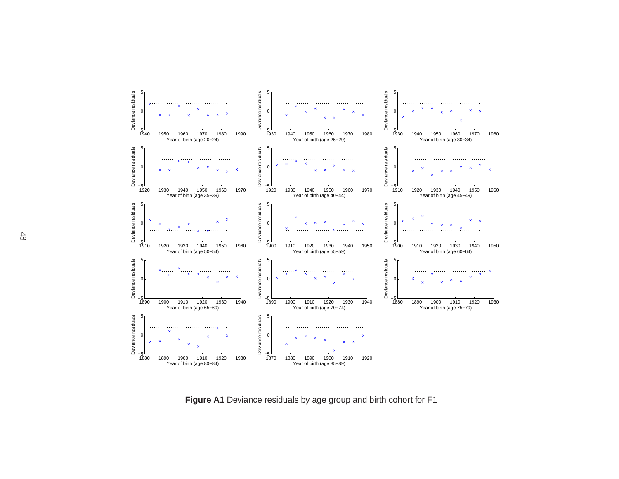![](_page_54_Figure_0.jpeg)

**Figure A1** Deviance residuals by age group and birth cohort for F1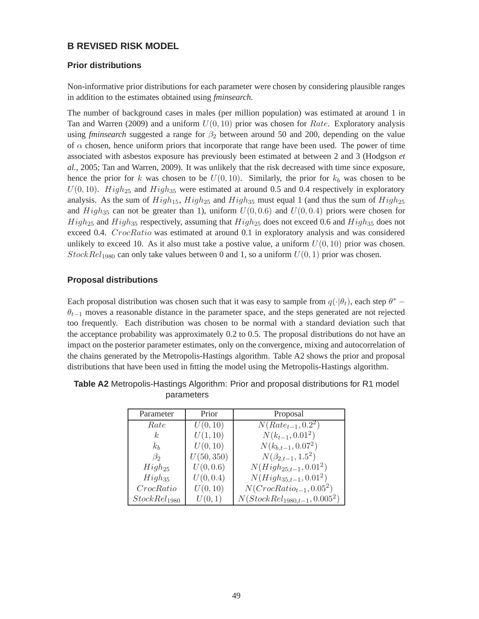# **B REVISED RISK MODEL**

## **Prior distributions**

Non-informative prior distributions for each parameter were chosen by considering plausible ranges in addition to the estimates obtained using *fminsearch*.

The number of background cases in males (per million population) was estimated at around 1 in Tan and Warren (2009) and a uniform  $U(0, 10)$  prior was chosen for *Rate*. Exploratory analysis using *fminsearch* suggested a range for  $\beta_2$  between around 50 and 200, depending on the value of  $\alpha$  chosen, hence uniform priors that incorporate that range have been used. The power of time associated with asbestos exposure has previously been estimated at between 2 and 3 (Hodgson *et al.*, 2005; Tan and Warren, 2009). It was unlikely that the risk decreased with time since exposure, hence the prior for k was chosen to be  $U(0, 10)$ . Similarly, the prior for  $k_b$  was chosen to be  $U(0, 10)$ . High<sub>25</sub> and High<sub>35</sub> were estimated at around 0.5 and 0.4 respectively in exploratory analysis. As the sum of  $High_{15}$ ,  $High_{25}$  and  $High_{35}$  must equal 1 (and thus the sum of  $High_{25}$ and  $High_{35}$  can not be greater than 1), uniform  $U(0, 0.6)$  and  $U(0, 0.4)$  priors were chosen for  $High_{25}$  and  $High_{35}$  respectively, assuming that  $High_{25}$  does not exceed 0.6 and  $High_{35}$  does not exceed 0.4. CrocRatio was estimated at around 0.1 in exploratory analysis and was considered unlikely to exceed 10. As it also must take a postive value, a uniform  $U(0, 10)$  prior was chosen. StockRel<sub>1980</sub> can only take values between 0 and 1, so a uniform  $U(0, 1)$  prior was chosen.

## **Proposal distributions**

Each proposal distribution was chosen such that it was easy to sample from  $q(\cdot|\theta_t)$ , each step  $\theta^*$  −  $\theta_{t-1}$  moves a reasonable distance in the parameter space, and the steps generated are not rejected too frequently. Each distribution was chosen to be normal with a standard deviation such that the acceptance probability was approximately 0.2 to 0.5. The proposal distributions do not have an impact on the posterior parameter estimates, only on the convergence, mixing and autocorrelation of the chains generated by the Metropolis-Hastings algorithm. Table A2 shows the prior and proposal distributions that have been used in fitting the model using the Metropolis-Hastings algorithm.

| Parameter                | Prior      | Proposal                          |
|--------------------------|------------|-----------------------------------|
| Rate                     | U(0, 10)   | $N(Rate_{t-1}, 0.2^2)$            |
| $k_{\mathcal{C}}$        | U(1, 10)   | $N(k_{t-1}, 0.01^2)$              |
| $k_b$                    | U(0, 10)   | $N(k_{b,t-1}, 0.07^2)$            |
| $\beta_2$                | U(50, 350) | $N(\beta_{2,t-1}, 1.5^2)$         |
| $High_{25}$              | U(0, 0.6)  | $N(High_{25,t-1}, 0.01^2)$        |
| $High_{35}$              | U(0, 0.4)  | $N(High_{35,t-1}, 0.01^2)$        |
| CrocRatio                | U(0, 10)   | $N(CrocRatio_{t-1}, 0.05^2)$      |
| StockRel <sub>1980</sub> | U(0,1)     | $N(StockRel_{1980,t-1}, 0.005^2)$ |

**Table A2** Metropolis-Hastings Algorithm: Prior and proposal distributions for R1 model parameters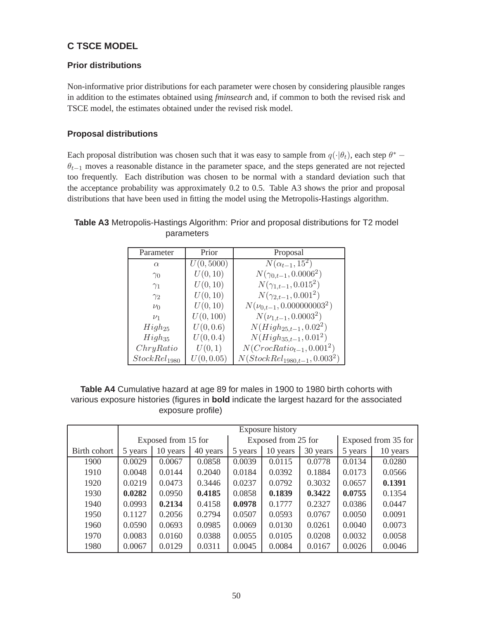# **C TSCE MODEL**

# **Prior distributions**

Non-informative prior distributions for each parameter were chosen by considering plausible ranges in addition to the estimates obtained using *fminsearch* and, if common to both the revised risk and TSCE model, the estimates obtained under the revised risk model.

## **Proposal distributions**

Each proposal distribution was chosen such that it was easy to sample from  $q(\cdot|\theta_t)$ , each step  $\theta^*$  −  $\theta_{t-1}$  moves a reasonable distance in the parameter space, and the steps generated are not rejected too frequently. Each distribution was chosen to be normal with a standard deviation such that the acceptance probability was approximately 0.2 to 0.5. Table A3 shows the prior and proposal distributions that have been used in fitting the model using the Metropolis-Hastings algorithm.

# **Table A3** Metropolis-Hastings Algorithm: Prior and proposal distributions for T2 model parameters

| Parameter                | Prior      | Proposal                         |  |  |  |
|--------------------------|------------|----------------------------------|--|--|--|
| $\alpha$                 | U(0, 5000) | $N(\alpha_{t-1}, 15^2)$          |  |  |  |
| $\gamma_0$               | U(0, 10)   | $N(\gamma_{0,t-1},0.0006^2)$     |  |  |  |
| $\gamma_1$               | U(0, 10)   | $N(\gamma_{1,t-1}, 0.015^2)$     |  |  |  |
| $\gamma_2$               | U(0, 10)   | $N(\gamma_{2,t-1},0.001^2)$      |  |  |  |
| $\nu_0$                  | U(0, 10)   | $N(\nu_{0,t-1},0.000000003^2)$   |  |  |  |
| $\nu_1$                  | U(0, 100)  | $N(\nu_{1,t-1},0.0003^2)$        |  |  |  |
| $High_{25}$              | U(0, 0.6)  | $N(High_{25,t-1}, 0.02^2)$       |  |  |  |
| $High_{35}$              | U(0, 0.4)  | $N(High_{35,t-1}, 0.01^2)$       |  |  |  |
| ChryRatio                | U(0,1)     | $N(CrocRatio_{t-1}, 0.001^2)$    |  |  |  |
| StockRel <sub>1980</sub> | U(0, 0.05) | $N(StockRel_{1980,t-1}, 0.0032)$ |  |  |  |

# **Table A4** Cumulative hazard at age 89 for males in 1900 to 1980 birth cohorts with various exposure histories (figures in **bold** indicate the largest hazard for the associated exposure profile)

|              | Exposure history    |          |          |                     |          |          |                     |          |  |
|--------------|---------------------|----------|----------|---------------------|----------|----------|---------------------|----------|--|
|              | Exposed from 15 for |          |          | Exposed from 25 for |          |          | Exposed from 35 for |          |  |
| Birth cohort | 5 years             | 10 years | 40 years | 5 years             | 10 years | 30 years | 5 years             | 10 years |  |
| 1900         | 0.0029              | 0.0067   | 0.0858   | 0.0039              | 0.0115   | 0.0778   | 0.0134              | 0.0280   |  |
| 1910         | 0.0048              | 0.0144   | 0.2040   | 0.0184              | 0.0392   | 0.1884   | 0.0173              | 0.0566   |  |
| 1920         | 0.0219              | 0.0473   | 0.3446   | 0.0237              | 0.0792   | 0.3032   | 0.0657              | 0.1391   |  |
| 1930         | 0.0282              | 0.0950   | 0.4185   | 0.0858              | 0.1839   | 0.3422   | 0.0755              | 0.1354   |  |
| 1940         | 0.0993              | 0.2134   | 0.4158   | 0.0978              | 0.1777   | 0.2327   | 0.0386              | 0.0447   |  |
| 1950         | 0.1127              | 0.2056   | 0.2794   | 0.0507              | 0.0593   | 0.0767   | 0.0050              | 0.0091   |  |
| 1960         | 0.0590              | 0.0693   | 0.0985   | 0.0069              | 0.0130   | 0.0261   | 0.0040              | 0.0073   |  |
| 1970         | 0.0083              | 0.0160   | 0.0388   | 0.0055              | 0.0105   | 0.0208   | 0.0032              | 0.0058   |  |
| 1980         | 0.0067              | 0.0129   | 0.0311   | 0.0045              | 0.0084   | 0.0167   | 0.0026              | 0.0046   |  |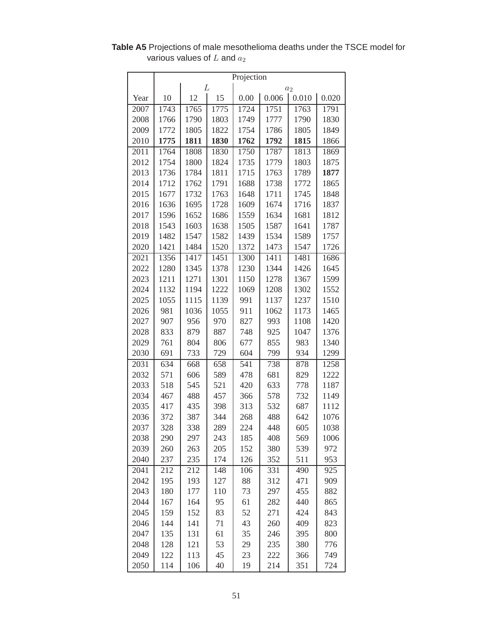|      | Projection |      |      |      |       |       |       |  |  |
|------|------------|------|------|------|-------|-------|-------|--|--|
|      | L<br>$a_2$ |      |      |      |       |       |       |  |  |
| Year | 10         | 12   | 15   | 0.00 | 0.006 | 0.010 | 0.020 |  |  |
| 2007 | 1743       | 1765 | 1775 | 1724 | 1751  | 1763  | 1791  |  |  |
| 2008 | 1766       | 1790 | 1803 | 1749 | 1777  | 1790  | 1830  |  |  |
| 2009 | 1772       | 1805 | 1822 | 1754 | 1786  | 1805  | 1849  |  |  |
| 2010 | 1775       | 1811 | 1830 | 1762 | 1792  | 1815  | 1866  |  |  |
| 2011 | 1764       | 1808 | 1830 | 1750 | 1787  | 1813  | 1869  |  |  |
| 2012 | 1754       | 1800 | 1824 | 1735 | 1779  | 1803  | 1875  |  |  |
| 2013 | 1736       | 1784 | 1811 | 1715 | 1763  | 1789  | 1877  |  |  |
| 2014 | 1712       | 1762 | 1791 | 1688 | 1738  | 1772  | 1865  |  |  |
| 2015 | 1677       | 1732 | 1763 | 1648 | 1711  | 1745  | 1848  |  |  |
| 2016 | 1636       | 1695 | 1728 | 1609 | 1674  | 1716  | 1837  |  |  |
| 2017 | 1596       | 1652 | 1686 | 1559 | 1634  | 1681  | 1812  |  |  |
| 2018 | 1543       | 1603 | 1638 | 1505 | 1587  | 1641  | 1787  |  |  |
| 2019 | 1482       | 1547 | 1582 | 1439 | 1534  | 1589  | 1757  |  |  |
| 2020 | 1421       | 1484 | 1520 | 1372 | 1473  | 1547  | 1726  |  |  |
| 2021 | 1356       | 1417 | 1451 | 1300 | 1411  | 1481  | 1686  |  |  |
| 2022 | 1280       | 1345 | 1378 | 1230 | 1344  | 1426  | 1645  |  |  |
| 2023 | 1211       | 1271 | 1301 | 1150 | 1278  | 1367  | 1599  |  |  |
| 2024 | 1132       | 1194 | 1222 | 1069 | 1208  | 1302  | 1552  |  |  |
| 2025 | 1055       | 1115 | 1139 | 991  | 1137  | 1237  | 1510  |  |  |
| 2026 | 981        | 1036 | 1055 | 911  | 1062  | 1173  | 1465  |  |  |
| 2027 | 907        | 956  | 970  | 827  | 993   | 1108  | 1420  |  |  |
| 2028 | 833        | 879  | 887  | 748  | 925   | 1047  | 1376  |  |  |
| 2029 | 761        | 804  | 806  | 677  | 855   | 983   | 1340  |  |  |
| 2030 | 691        | 733  | 729  | 604  | 799   | 934   | 1299  |  |  |
| 2031 | 634        | 668  | 658  | 541  | 738   | 878   | 1258  |  |  |
| 2032 | 571        | 606  | 589  | 478  | 681   | 829   | 1222  |  |  |
| 2033 | 518        | 545  | 521  | 420  | 633   | 778   | 1187  |  |  |
| 2034 | 467        | 488  | 457  | 366  | 578   | 732   | 1149  |  |  |
| 2035 | 417        | 435  | 398  | 313  | 532   | 687   | 1112  |  |  |
| 2036 | 372        | 387  | 344  | 268  | 488   | 642   | 1076  |  |  |
| 2037 | 328        | 338  | 289  | 224  | 448   | 605   | 1038  |  |  |
| 2038 | 290        | 297  | 243  | 185  | 408   | 569   | 1006  |  |  |
| 2039 | 260        | 263  | 205  | 152  | 380   | 539   | 972   |  |  |
| 2040 | 237        | 235  | 174  | 126  | 352   | 511   | 953   |  |  |
| 2041 | 212        | 212  | 148  | 106  | 331   | 490   | 925   |  |  |
| 2042 | 195        | 193  | 127  | 88   | 312   | 471   | 909   |  |  |
| 2043 | 180        | 177  | 110  | 73   | 297   | 455   | 882   |  |  |
| 2044 | 167        | 164  | 95   | 61   | 282   | 440   | 865   |  |  |
| 2045 | 159        | 152  | 83   | 52   | 271   | 424   | 843   |  |  |
| 2046 | 144        | 141  | 71   | 43   | 260   | 409   | 823   |  |  |
| 2047 | 135        | 131  | 61   | 35   | 246   | 395   | 800   |  |  |
| 2048 | 128        | 121  | 53   | 29   | 235   | 380   | 776   |  |  |
| 2049 | 122        | 113  | 45   | 23   | 222   | 366   | 749   |  |  |
| 2050 | 114        | 106  | 40   | 19   | 214   | 351   | 724   |  |  |

**Table A5** Projections of male mesothelioma deaths under the TSCE model for various values of  $L$  and  $a_2$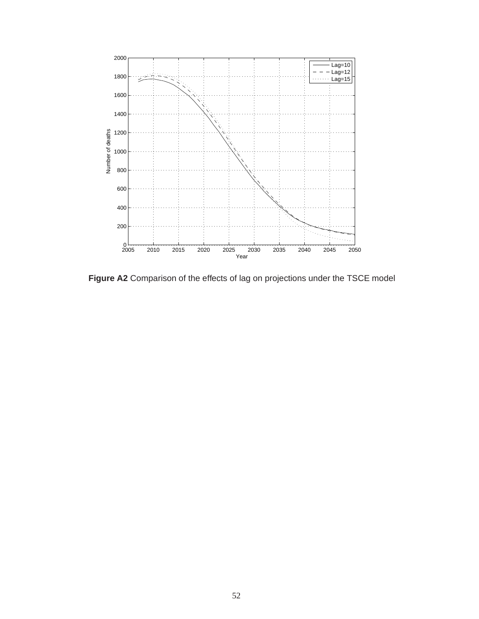<span id="page-58-0"></span>![](_page_58_Figure_0.jpeg)

**Figure A2** Comparison of the effects of lag on projections under the TSCE model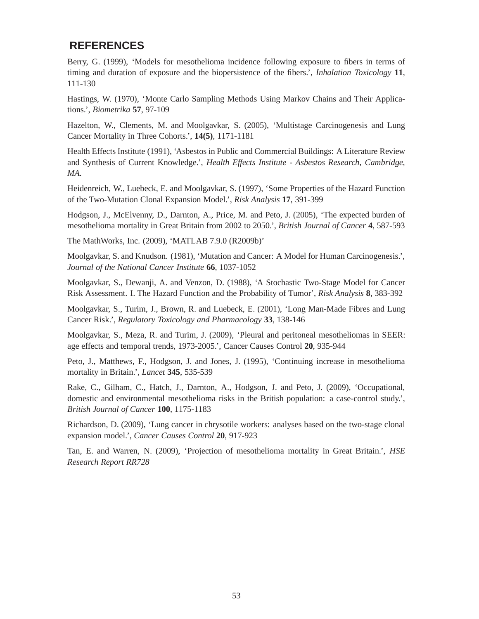# <span id="page-59-0"></span>**REFERENCES**

Berry, G. (1999), 'Models for mesothelioma incidence following exposure to fibers in terms of timing and duration of exposure and the biopersistence of the fibers.', *Inhalation Toxicology* **11**, 111-130

Hastings, W. (1970), 'Monte Carlo Sampling Methods Using Markov Chains and Their Applications.', *Biometrika* **57**, 97-109

Hazelton, W., Clements, M. and Moolgavkar, S. (2005), 'Multistage Carcinogenesis and Lung Cancer Mortality in Three Cohorts.', **14(5)**, 1171-1181

Health Effects Institute (1991), 'Asbestos in Public and Commercial Buildings: A Literature Review and Synthesis of Current Knowledge.', *Health Effects Institute - Asbestos Research, Cambridge, MA.* 

Heidenreich, W., Luebeck, E. and Moolgavkar, S. (1997), 'Some Properties of the Hazard Function of the Two-Mutation Clonal Expansion Model.', *Risk Analysis* **17**, 391-399

Hodgson, J., McElvenny, D., Darnton, A., Price, M. and Peto, J. (2005), 'The expected burden of mesothelioma mortality in Great Britain from 2002 to 2050.', *British Journal of Cancer* **4**, 587-593

The MathWorks, Inc. (2009), 'MATLAB 7.9.0 (R2009b)'

Moolgavkar, S. and Knudson. (1981), 'Mutation and Cancer: A Model for Human Carcinogenesis.', *Journal of the National Cancer Institute* **66**, 1037-1052

Moolgavkar, S., Dewanji, A. and Venzon, D. (1988), 'A Stochastic Two-Stage Model for Cancer Risk Assessment. I. The Hazard Function and the Probability of Tumor', *Risk Analysis* **8**, 383-392

Moolgavkar, S., Turim, J., Brown, R. and Luebeck, E. (2001), 'Long Man-Made Fibres and Lung Cancer Risk.', *Regulatory Toxicology and Pharmacology* **33**, 138-146

Moolgavkar, S., Meza, R. and Turim, J. (2009), 'Pleural and peritoneal mesotheliomas in SEER: age effects and temporal trends, 1973-2005.', Cancer Causes Control **20**, 935-944

Peto, J., Matthews, F., Hodgson, J. and Jones, J. (1995), 'Continuing increase in mesothelioma mortality in Britain.', *Lancet* **345**, 535-539

Rake, C., Gilham, C., Hatch, J., Darnton, A., Hodgson, J. and Peto, J. (2009), 'Occupational, domestic and environmental mesothelioma risks in the British population: a case-control study.', *British Journal of Cancer* **100**, 1175-1183

Richardson, D. (2009), 'Lung cancer in chrysotile workers: analyses based on the two-stage clonal expansion model.', *Cancer Causes Control* **20**, 917-923

Tan, E. and Warren, N. (2009), 'Projection of mesothelioma mortality in Great Britain.', *HSE Research Report RR728*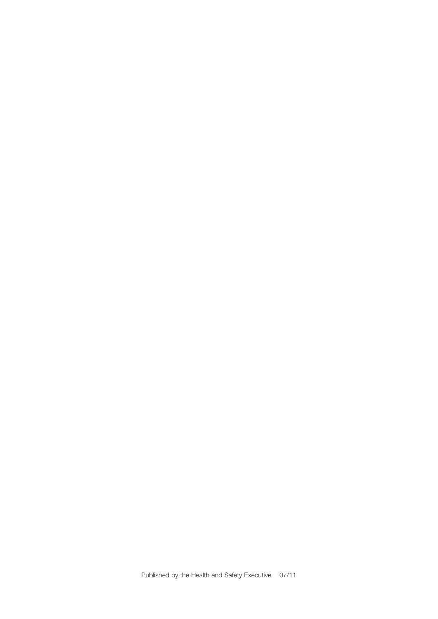Published by the Health and Safety Executive 07/11